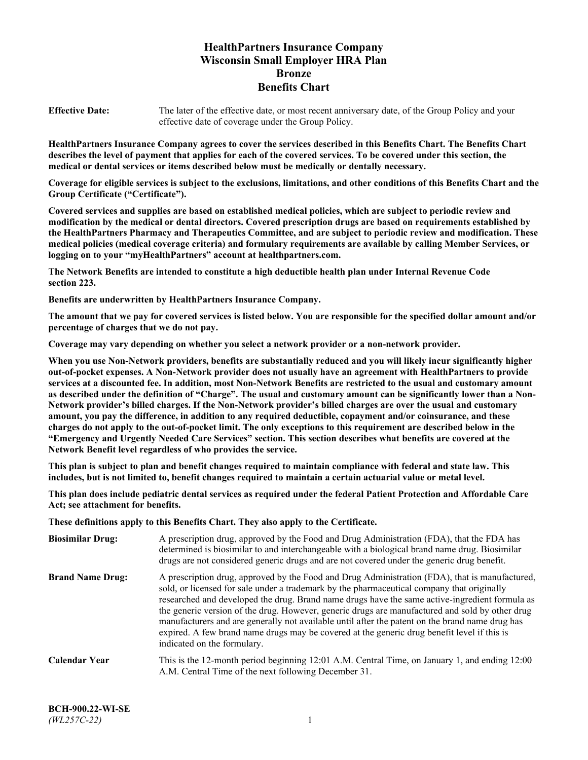# **HealthPartners Insurance Company Wisconsin Small Employer HRA Plan Bronze Benefits Chart**

**Effective Date:** The later of the effective date, or most recent anniversary date, of the Group Policy and your effective date of coverage under the Group Policy.

**HealthPartners Insurance Company agrees to cover the services described in this Benefits Chart. The Benefits Chart describes the level of payment that applies for each of the covered services. To be covered under this section, the medical or dental services or items described below must be medically or dentally necessary.**

**Coverage for eligible services is subject to the exclusions, limitations, and other conditions of this Benefits Chart and the Group Certificate ("Certificate").**

**Covered services and supplies are based on established medical policies, which are subject to periodic review and modification by the medical or dental directors. Covered prescription drugs are based on requirements established by the HealthPartners Pharmacy and Therapeutics Committee, and are subject to periodic review and modification. These medical policies (medical coverage criteria) and formulary requirements are available by calling Member Services, or logging on to your "myHealthPartners" account at [healthpartners.com.](https://www.healthpartners.com/hp/index.html)**

**The Network Benefits are intended to constitute a high deductible health plan under Internal Revenue Code section 223.**

**Benefits are underwritten by HealthPartners Insurance Company.**

**The amount that we pay for covered services is listed below. You are responsible for the specified dollar amount and/or percentage of charges that we do not pay.**

**Coverage may vary depending on whether you select a network provider or a non-network provider.**

**When you use Non-Network providers, benefits are substantially reduced and you will likely incur significantly higher out-of-pocket expenses. A Non-Network provider does not usually have an agreement with HealthPartners to provide services at a discounted fee. In addition, most Non-Network Benefits are restricted to the usual and customary amount as described under the definition of "Charge". The usual and customary amount can be significantly lower than a Non-Network provider's billed charges. If the Non-Network provider's billed charges are over the usual and customary amount, you pay the difference, in addition to any required deductible, copayment and/or coinsurance, and these charges do not apply to the out-of-pocket limit. The only exceptions to this requirement are described below in the "Emergency and Urgently Needed Care Services" section. This section describes what benefits are covered at the Network Benefit level regardless of who provides the service.**

**This plan is subject to plan and benefit changes required to maintain compliance with federal and state law. This includes, but is not limited to, benefit changes required to maintain a certain actuarial value or metal level.**

**This plan does include pediatric dental services as required under the federal Patient Protection and Affordable Care Act; see attachment for benefits.**

**These definitions apply to this Benefits Chart. They also apply to the Certificate.**

| <b>Biosimilar Drug:</b> | A prescription drug, approved by the Food and Drug Administration (FDA), that the FDA has<br>determined is biosimilar to and interchangeable with a biological brand name drug. Biosimilar<br>drugs are not considered generic drugs and are not covered under the generic drug benefit.                                                                                                                                                                                                                                                                                                                                           |
|-------------------------|------------------------------------------------------------------------------------------------------------------------------------------------------------------------------------------------------------------------------------------------------------------------------------------------------------------------------------------------------------------------------------------------------------------------------------------------------------------------------------------------------------------------------------------------------------------------------------------------------------------------------------|
| <b>Brand Name Drug:</b> | A prescription drug, approved by the Food and Drug Administration (FDA), that is manufactured,<br>sold, or licensed for sale under a trademark by the pharmaceutical company that originally<br>researched and developed the drug. Brand name drugs have the same active-ingredient formula as<br>the generic version of the drug. However, generic drugs are manufactured and sold by other drug<br>manufacturers and are generally not available until after the patent on the brand name drug has<br>expired. A few brand name drugs may be covered at the generic drug benefit level if this is<br>indicated on the formulary. |
| <b>Calendar Year</b>    | This is the 12-month period beginning 12:01 A.M. Central Time, on January 1, and ending 12:00<br>A.M. Central Time of the next following December 31.                                                                                                                                                                                                                                                                                                                                                                                                                                                                              |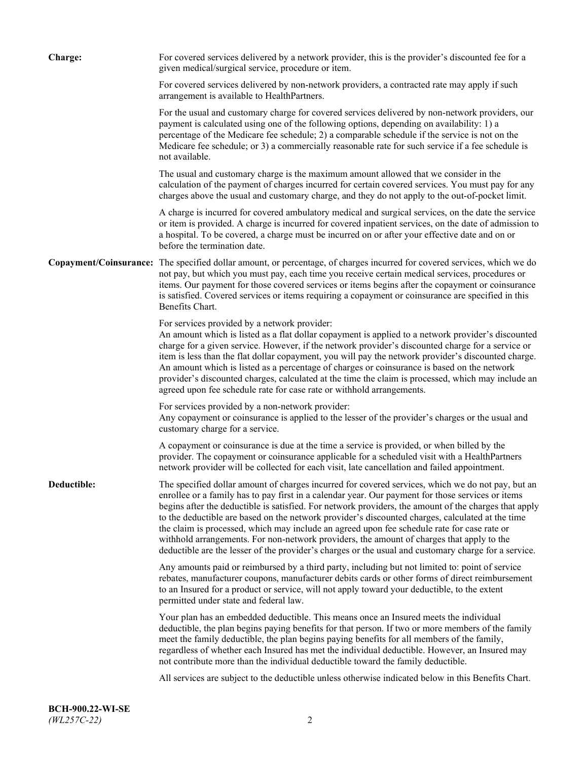| <b>Charge:</b> | For covered services delivered by a network provider, this is the provider's discounted fee for a<br>given medical/surgical service, procedure or item.                                                                                                                                                                                                                                                                                                                                                                                                                                                                                                                                                                 |
|----------------|-------------------------------------------------------------------------------------------------------------------------------------------------------------------------------------------------------------------------------------------------------------------------------------------------------------------------------------------------------------------------------------------------------------------------------------------------------------------------------------------------------------------------------------------------------------------------------------------------------------------------------------------------------------------------------------------------------------------------|
|                | For covered services delivered by non-network providers, a contracted rate may apply if such<br>arrangement is available to HealthPartners.                                                                                                                                                                                                                                                                                                                                                                                                                                                                                                                                                                             |
|                | For the usual and customary charge for covered services delivered by non-network providers, our<br>payment is calculated using one of the following options, depending on availability: 1) a<br>percentage of the Medicare fee schedule; 2) a comparable schedule if the service is not on the<br>Medicare fee schedule; or 3) a commercially reasonable rate for such service if a fee schedule is<br>not available.                                                                                                                                                                                                                                                                                                   |
|                | The usual and customary charge is the maximum amount allowed that we consider in the<br>calculation of the payment of charges incurred for certain covered services. You must pay for any<br>charges above the usual and customary charge, and they do not apply to the out-of-pocket limit.                                                                                                                                                                                                                                                                                                                                                                                                                            |
|                | A charge is incurred for covered ambulatory medical and surgical services, on the date the service<br>or item is provided. A charge is incurred for covered inpatient services, on the date of admission to<br>a hospital. To be covered, a charge must be incurred on or after your effective date and on or<br>before the termination date.                                                                                                                                                                                                                                                                                                                                                                           |
|                | Copayment/Coinsurance: The specified dollar amount, or percentage, of charges incurred for covered services, which we do<br>not pay, but which you must pay, each time you receive certain medical services, procedures or<br>items. Our payment for those covered services or items begins after the copayment or coinsurance<br>is satisfied. Covered services or items requiring a copayment or coinsurance are specified in this<br>Benefits Chart.                                                                                                                                                                                                                                                                 |
|                | For services provided by a network provider:<br>An amount which is listed as a flat dollar copayment is applied to a network provider's discounted<br>charge for a given service. However, if the network provider's discounted charge for a service or<br>item is less than the flat dollar copayment, you will pay the network provider's discounted charge.<br>An amount which is listed as a percentage of charges or coinsurance is based on the network<br>provider's discounted charges, calculated at the time the claim is processed, which may include an<br>agreed upon fee schedule rate for case rate or withhold arrangements.                                                                            |
|                | For services provided by a non-network provider:<br>Any copayment or coinsurance is applied to the lesser of the provider's charges or the usual and<br>customary charge for a service.                                                                                                                                                                                                                                                                                                                                                                                                                                                                                                                                 |
|                | A copayment or coinsurance is due at the time a service is provided, or when billed by the<br>provider. The copayment or coinsurance applicable for a scheduled visit with a HealthPartners<br>network provider will be collected for each visit, late cancellation and failed appointment.                                                                                                                                                                                                                                                                                                                                                                                                                             |
| Deductible:    | The specified dollar amount of charges incurred for covered services, which we do not pay, but an<br>enrollee or a family has to pay first in a calendar year. Our payment for those services or items<br>begins after the deductible is satisfied. For network providers, the amount of the charges that apply<br>to the deductible are based on the network provider's discounted charges, calculated at the time<br>the claim is processed, which may include an agreed upon fee schedule rate for case rate or<br>withhold arrangements. For non-network providers, the amount of charges that apply to the<br>deductible are the lesser of the provider's charges or the usual and customary charge for a service. |
|                | Any amounts paid or reimbursed by a third party, including but not limited to: point of service<br>rebates, manufacturer coupons, manufacturer debits cards or other forms of direct reimbursement<br>to an Insured for a product or service, will not apply toward your deductible, to the extent<br>permitted under state and federal law.                                                                                                                                                                                                                                                                                                                                                                            |
|                | Your plan has an embedded deductible. This means once an Insured meets the individual<br>deductible, the plan begins paying benefits for that person. If two or more members of the family<br>meet the family deductible, the plan begins paying benefits for all members of the family,<br>regardless of whether each Insured has met the individual deductible. However, an Insured may<br>not contribute more than the individual deductible toward the family deductible.                                                                                                                                                                                                                                           |
|                | All services are subject to the deductible unless otherwise indicated below in this Benefits Chart.                                                                                                                                                                                                                                                                                                                                                                                                                                                                                                                                                                                                                     |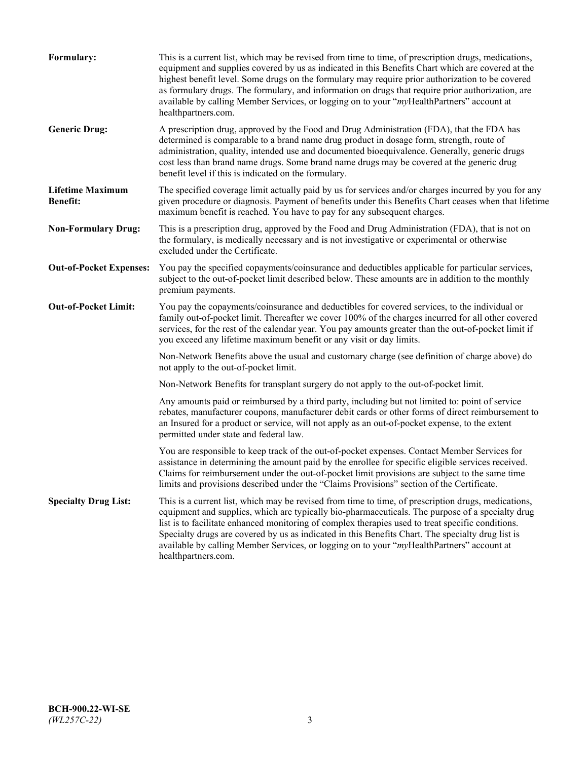| Formulary:                                 | This is a current list, which may be revised from time to time, of prescription drugs, medications,<br>equipment and supplies covered by us as indicated in this Benefits Chart which are covered at the<br>highest benefit level. Some drugs on the formulary may require prior authorization to be covered<br>as formulary drugs. The formulary, and information on drugs that require prior authorization, are<br>available by calling Member Services, or logging on to your "myHealthPartners" account at<br>healthpartners.com. |
|--------------------------------------------|---------------------------------------------------------------------------------------------------------------------------------------------------------------------------------------------------------------------------------------------------------------------------------------------------------------------------------------------------------------------------------------------------------------------------------------------------------------------------------------------------------------------------------------|
| <b>Generic Drug:</b>                       | A prescription drug, approved by the Food and Drug Administration (FDA), that the FDA has<br>determined is comparable to a brand name drug product in dosage form, strength, route of<br>administration, quality, intended use and documented bioequivalence. Generally, generic drugs<br>cost less than brand name drugs. Some brand name drugs may be covered at the generic drug<br>benefit level if this is indicated on the formulary.                                                                                           |
| <b>Lifetime Maximum</b><br><b>Benefit:</b> | The specified coverage limit actually paid by us for services and/or charges incurred by you for any<br>given procedure or diagnosis. Payment of benefits under this Benefits Chart ceases when that lifetime<br>maximum benefit is reached. You have to pay for any subsequent charges.                                                                                                                                                                                                                                              |
| <b>Non-Formulary Drug:</b>                 | This is a prescription drug, approved by the Food and Drug Administration (FDA), that is not on<br>the formulary, is medically necessary and is not investigative or experimental or otherwise<br>excluded under the Certificate.                                                                                                                                                                                                                                                                                                     |
| <b>Out-of-Pocket Expenses:</b>             | You pay the specified copayments/coinsurance and deductibles applicable for particular services,<br>subject to the out-of-pocket limit described below. These amounts are in addition to the monthly<br>premium payments.                                                                                                                                                                                                                                                                                                             |
| <b>Out-of-Pocket Limit:</b>                | You pay the copayments/coinsurance and deductibles for covered services, to the individual or<br>family out-of-pocket limit. Thereafter we cover 100% of the charges incurred for all other covered<br>services, for the rest of the calendar year. You pay amounts greater than the out-of-pocket limit if<br>you exceed any lifetime maximum benefit or any visit or day limits.                                                                                                                                                    |
|                                            | Non-Network Benefits above the usual and customary charge (see definition of charge above) do<br>not apply to the out-of-pocket limit.                                                                                                                                                                                                                                                                                                                                                                                                |
|                                            | Non-Network Benefits for transplant surgery do not apply to the out-of-pocket limit.                                                                                                                                                                                                                                                                                                                                                                                                                                                  |
|                                            | Any amounts paid or reimbursed by a third party, including but not limited to: point of service<br>rebates, manufacturer coupons, manufacturer debit cards or other forms of direct reimbursement to<br>an Insured for a product or service, will not apply as an out-of-pocket expense, to the extent<br>permitted under state and federal law.                                                                                                                                                                                      |
|                                            | You are responsible to keep track of the out-of-pocket expenses. Contact Member Services for<br>assistance in determining the amount paid by the enrollee for specific eligible services received.<br>Claims for reimbursement under the out-of-pocket limit provisions are subject to the same time<br>limits and provisions described under the "Claims Provisions" section of the Certificate.                                                                                                                                     |
| <b>Specialty Drug List:</b>                | This is a current list, which may be revised from time to time, of prescription drugs, medications,<br>equipment and supplies, which are typically bio-pharmaceuticals. The purpose of a specialty drug<br>list is to facilitate enhanced monitoring of complex therapies used to treat specific conditions.<br>Specialty drugs are covered by us as indicated in this Benefits Chart. The specialty drug list is<br>available by calling Member Services, or logging on to your "myHealthPartners" account at<br>healthpartners.com. |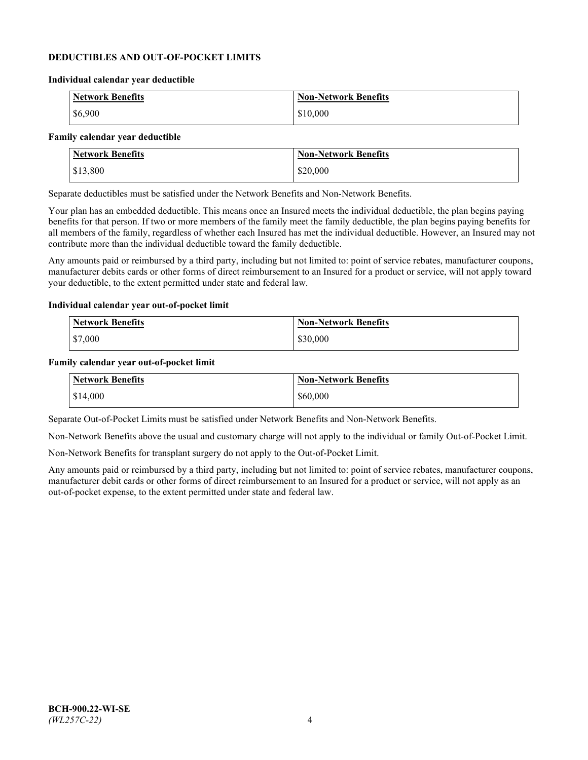### **DEDUCTIBLES AND OUT-OF-POCKET LIMITS**

#### **Individual calendar year deductible**

| <b>Network Benefits</b> | <b>Non-Network Benefits</b> |
|-------------------------|-----------------------------|
| \$6,900                 | \$10,000                    |

### **Family calendar year deductible**

| <b>Network Benefits</b> | <b>Non-Network Benefits</b> |
|-------------------------|-----------------------------|
| \$13,800                | \$20,000                    |

Separate deductibles must be satisfied under the Network Benefits and Non-Network Benefits.

Your plan has an embedded deductible. This means once an Insured meets the individual deductible, the plan begins paying benefits for that person. If two or more members of the family meet the family deductible, the plan begins paying benefits for all members of the family, regardless of whether each Insured has met the individual deductible. However, an Insured may not contribute more than the individual deductible toward the family deductible.

Any amounts paid or reimbursed by a third party, including but not limited to: point of service rebates, manufacturer coupons, manufacturer debits cards or other forms of direct reimbursement to an Insured for a product or service, will not apply toward your deductible, to the extent permitted under state and federal law.

#### **Individual calendar year out-of-pocket limit**

| Network Benefits | <b>Non-Network Benefits</b> |
|------------------|-----------------------------|
| \$7,000          | \$30,000                    |

#### **Family calendar year out-of-pocket limit**

| <b>Network Benefits</b> | <b>Non-Network Benefits</b> |
|-------------------------|-----------------------------|
| \$14,000                | \$60,000                    |

Separate Out-of-Pocket Limits must be satisfied under Network Benefits and Non-Network Benefits.

Non-Network Benefits above the usual and customary charge will not apply to the individual or family Out-of-Pocket Limit.

Non-Network Benefits for transplant surgery do not apply to the Out-of-Pocket Limit.

Any amounts paid or reimbursed by a third party, including but not limited to: point of service rebates, manufacturer coupons, manufacturer debit cards or other forms of direct reimbursement to an Insured for a product or service, will not apply as an out-of-pocket expense, to the extent permitted under state and federal law.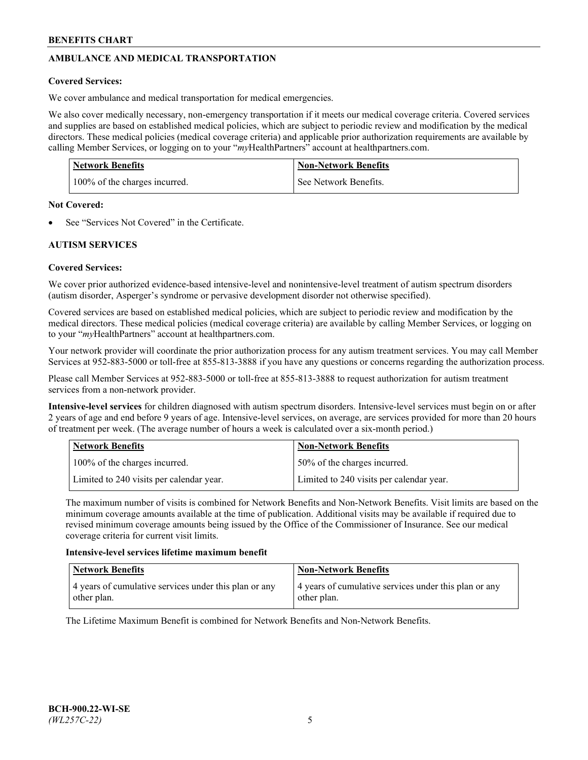# **AMBULANCE AND MEDICAL TRANSPORTATION**

# **Covered Services:**

We cover ambulance and medical transportation for medical emergencies.

We also cover medically necessary, non-emergency transportation if it meets our medical coverage criteria. Covered services and supplies are based on established medical policies, which are subject to periodic review and modification by the medical directors. These medical policies (medical coverage criteria) and applicable prior authorization requirements are available by calling Member Services, or logging on to your "*my*HealthPartners" account a[t healthpartners.com.](https://www.healthpartners.com/hp/index.html)

| <b>Network Benefits</b>       | <b>Non-Network Benefits</b> |
|-------------------------------|-----------------------------|
| 100% of the charges incurred. | See Network Benefits.       |

## **Not Covered:**

See "Services Not Covered" in the Certificate.

# **AUTISM SERVICES**

# **Covered Services:**

We cover prior authorized evidence-based intensive-level and nonintensive-level treatment of autism spectrum disorders (autism disorder, Asperger's syndrome or pervasive development disorder not otherwise specified).

Covered services are based on established medical policies, which are subject to periodic review and modification by the medical directors. These medical policies (medical coverage criteria) are available by calling Member Services, or logging on to your "*my*HealthPartners" account at [healthpartners.com.](https://www.healthpartners.com/hp/index.html)

Your network provider will coordinate the prior authorization process for any autism treatment services. You may call Member Services at 952-883-5000 or toll-free at 855-813-3888 if you have any questions or concerns regarding the authorization process.

Please call Member Services at 952-883-5000 or toll-free at 855-813-3888 to request authorization for autism treatment services from a non-network provider.

**Intensive-level services** for children diagnosed with autism spectrum disorders. Intensive-level services must begin on or after 2 years of age and end before 9 years of age. Intensive-level services, on average, are services provided for more than 20 hours of treatment per week. (The average number of hours a week is calculated over a six-month period.)

| Network Benefits                         | <b>Non-Network Benefits</b>              |
|------------------------------------------|------------------------------------------|
| 100% of the charges incurred.            | 50% of the charges incurred.             |
| Limited to 240 visits per calendar year. | Limited to 240 visits per calendar year. |

The maximum number of visits is combined for Network Benefits and Non-Network Benefits. Visit limits are based on the minimum coverage amounts available at the time of publication. Additional visits may be available if required due to revised minimum coverage amounts being issued by the Office of the Commissioner of Insurance. See our medical coverage criteria for current visit limits.

## **Intensive-level services lifetime maximum benefit**

| Network Benefits                                                     | <b>Non-Network Benefits</b>                                          |
|----------------------------------------------------------------------|----------------------------------------------------------------------|
| 4 years of cumulative services under this plan or any<br>other plan. | 4 years of cumulative services under this plan or any<br>other plan. |

The Lifetime Maximum Benefit is combined for Network Benefits and Non-Network Benefits.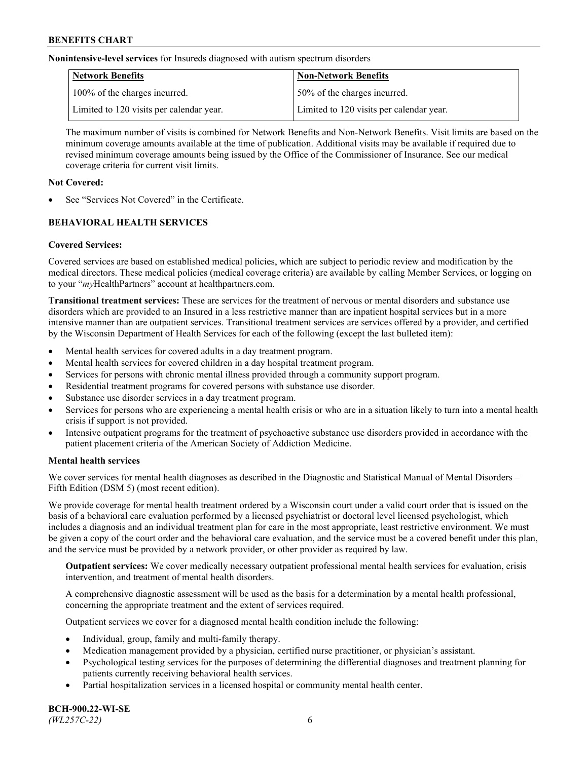**Nonintensive-level services** for Insureds diagnosed with autism spectrum disorders

| Network Benefits                         | <b>Non-Network Benefits</b>              |
|------------------------------------------|------------------------------------------|
| 100% of the charges incurred.            | 50% of the charges incurred.             |
| Limited to 120 visits per calendar year. | Limited to 120 visits per calendar year. |

The maximum number of visits is combined for Network Benefits and Non-Network Benefits. Visit limits are based on the minimum coverage amounts available at the time of publication. Additional visits may be available if required due to revised minimum coverage amounts being issued by the Office of the Commissioner of Insurance. See our medical coverage criteria for current visit limits.

# **Not Covered:**

See "Services Not Covered" in the Certificate.

# **BEHAVIORAL HEALTH SERVICES**

## **Covered Services:**

Covered services are based on established medical policies, which are subject to periodic review and modification by the medical directors. These medical policies (medical coverage criteria) are available by calling Member Services, or logging on to your "*my*HealthPartners" account at [healthpartners.com.](https://www.healthpartners.com/hp/index.html)

**Transitional treatment services:** These are services for the treatment of nervous or mental disorders and substance use disorders which are provided to an Insured in a less restrictive manner than are inpatient hospital services but in a more intensive manner than are outpatient services. Transitional treatment services are services offered by a provider, and certified by the Wisconsin Department of Health Services for each of the following (except the last bulleted item):

- Mental health services for covered adults in a day treatment program.
- Mental health services for covered children in a day hospital treatment program.
- Services for persons with chronic mental illness provided through a community support program.
- Residential treatment programs for covered persons with substance use disorder.
- Substance use disorder services in a day treatment program.
- Services for persons who are experiencing a mental health crisis or who are in a situation likely to turn into a mental health crisis if support is not provided.
- Intensive outpatient programs for the treatment of psychoactive substance use disorders provided in accordance with the patient placement criteria of the American Society of Addiction Medicine.

## **Mental health services**

We cover services for mental health diagnoses as described in the Diagnostic and Statistical Manual of Mental Disorders – Fifth Edition (DSM 5) (most recent edition).

We provide coverage for mental health treatment ordered by a Wisconsin court under a valid court order that is issued on the basis of a behavioral care evaluation performed by a licensed psychiatrist or doctoral level licensed psychologist, which includes a diagnosis and an individual treatment plan for care in the most appropriate, least restrictive environment. We must be given a copy of the court order and the behavioral care evaluation, and the service must be a covered benefit under this plan, and the service must be provided by a network provider, or other provider as required by law.

**Outpatient services:** We cover medically necessary outpatient professional mental health services for evaluation, crisis intervention, and treatment of mental health disorders.

A comprehensive diagnostic assessment will be used as the basis for a determination by a mental health professional, concerning the appropriate treatment and the extent of services required.

Outpatient services we cover for a diagnosed mental health condition include the following:

- Individual, group, family and multi-family therapy.
- Medication management provided by a physician, certified nurse practitioner, or physician's assistant.
- Psychological testing services for the purposes of determining the differential diagnoses and treatment planning for patients currently receiving behavioral health services.
- Partial hospitalization services in a licensed hospital or community mental health center.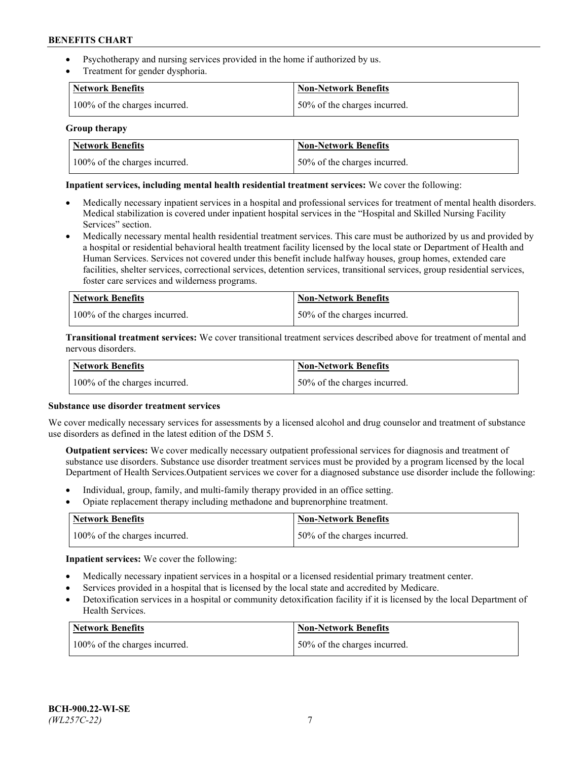- Psychotherapy and nursing services provided in the home if authorized by us.
- Treatment for gender dysphoria.

| <b>Network Benefits</b>       | <b>Non-Network Benefits</b>  |
|-------------------------------|------------------------------|
| 100% of the charges incurred. | 50% of the charges incurred. |

### **Group therapy**

| Network Benefits              | Non-Network Benefits          |
|-------------------------------|-------------------------------|
| 100% of the charges incurred. | 150% of the charges incurred. |

### **Inpatient services, including mental health residential treatment services:** We cover the following:

- Medically necessary inpatient services in a hospital and professional services for treatment of mental health disorders. Medical stabilization is covered under inpatient hospital services in the "Hospital and Skilled Nursing Facility Services" section.
- Medically necessary mental health residential treatment services. This care must be authorized by us and provided by a hospital or residential behavioral health treatment facility licensed by the local state or Department of Health and Human Services. Services not covered under this benefit include halfway houses, group homes, extended care facilities, shelter services, correctional services, detention services, transitional services, group residential services, foster care services and wilderness programs.

| <b>Network Benefits</b>       | Non-Network Benefits         |
|-------------------------------|------------------------------|
| 100% of the charges incurred. | 50% of the charges incurred. |

**Transitional treatment services:** We cover transitional treatment services described above for treatment of mental and nervous disorders.

| <b>Network Benefits</b>       | <b>Non-Network Benefits</b>  |
|-------------------------------|------------------------------|
| 100% of the charges incurred. | 50% of the charges incurred. |

#### **Substance use disorder treatment services**

We cover medically necessary services for assessments by a licensed alcohol and drug counselor and treatment of substance use disorders as defined in the latest edition of the DSM 5.

**Outpatient services:** We cover medically necessary outpatient professional services for diagnosis and treatment of substance use disorders. Substance use disorder treatment services must be provided by a program licensed by the local Department of Health Services.Outpatient services we cover for a diagnosed substance use disorder include the following:

- Individual, group, family, and multi-family therapy provided in an office setting.
- Opiate replacement therapy including methadone and buprenorphine treatment.

| Network Benefits              | Non-Network Benefits         |
|-------------------------------|------------------------------|
| 100% of the charges incurred. | 50% of the charges incurred. |

**Inpatient services:** We cover the following:

- Medically necessary inpatient services in a hospital or a licensed residential primary treatment center.
- Services provided in a hospital that is licensed by the local state and accredited by Medicare.
- Detoxification services in a hospital or community detoxification facility if it is licensed by the local Department of Health Services.

| Network Benefits              | <b>Non-Network Benefits</b>  |
|-------------------------------|------------------------------|
| 100% of the charges incurred. | 50% of the charges incurred. |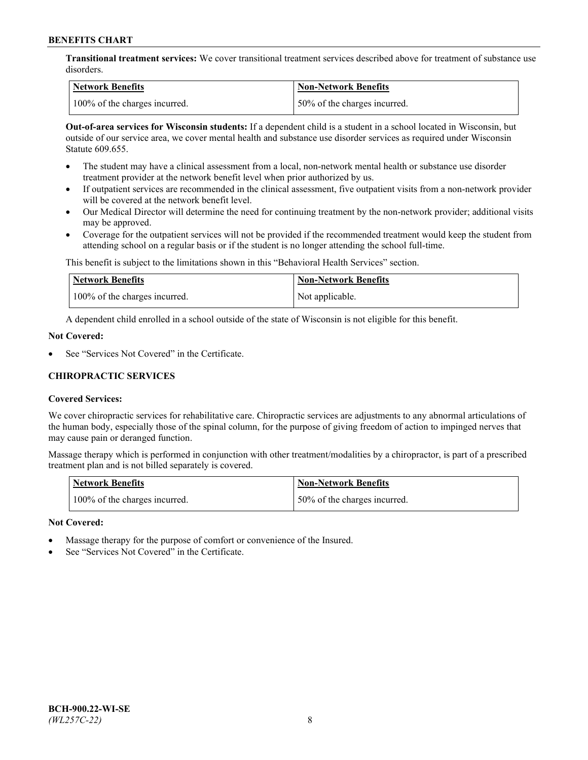**Transitional treatment services:** We cover transitional treatment services described above for treatment of substance use disorders.

| Network Benefits              | <b>Non-Network Benefits</b>   |
|-------------------------------|-------------------------------|
| 100% of the charges incurred. | 150% of the charges incurred. |

**Out-of-area services for Wisconsin students:** If a dependent child is a student in a school located in Wisconsin, but outside of our service area, we cover mental health and substance use disorder services as required under Wisconsin Statute 609.655.

- The student may have a clinical assessment from a local, non-network mental health or substance use disorder treatment provider at the network benefit level when prior authorized by us.
- If outpatient services are recommended in the clinical assessment, five outpatient visits from a non-network provider will be covered at the network benefit level.
- Our Medical Director will determine the need for continuing treatment by the non-network provider; additional visits may be approved.
- Coverage for the outpatient services will not be provided if the recommended treatment would keep the student from attending school on a regular basis or if the student is no longer attending the school full-time.

This benefit is subject to the limitations shown in this "Behavioral Health Services" section.

| Network Benefits              | Non-Network Benefits |
|-------------------------------|----------------------|
| 100% of the charges incurred. | Not applicable.      |

A dependent child enrolled in a school outside of the state of Wisconsin is not eligible for this benefit.

### **Not Covered:**

See "Services Not Covered" in the Certificate.

# **CHIROPRACTIC SERVICES**

## **Covered Services:**

We cover chiropractic services for rehabilitative care. Chiropractic services are adjustments to any abnormal articulations of the human body, especially those of the spinal column, for the purpose of giving freedom of action to impinged nerves that may cause pain or deranged function.

Massage therapy which is performed in conjunction with other treatment/modalities by a chiropractor, is part of a prescribed treatment plan and is not billed separately is covered.

| <b>Network Benefits</b>       | <b>Non-Network Benefits</b>  |
|-------------------------------|------------------------------|
| 100% of the charges incurred. | 50% of the charges incurred. |

#### **Not Covered:**

- Massage therapy for the purpose of comfort or convenience of the Insured.
- See "Services Not Covered" in the Certificate.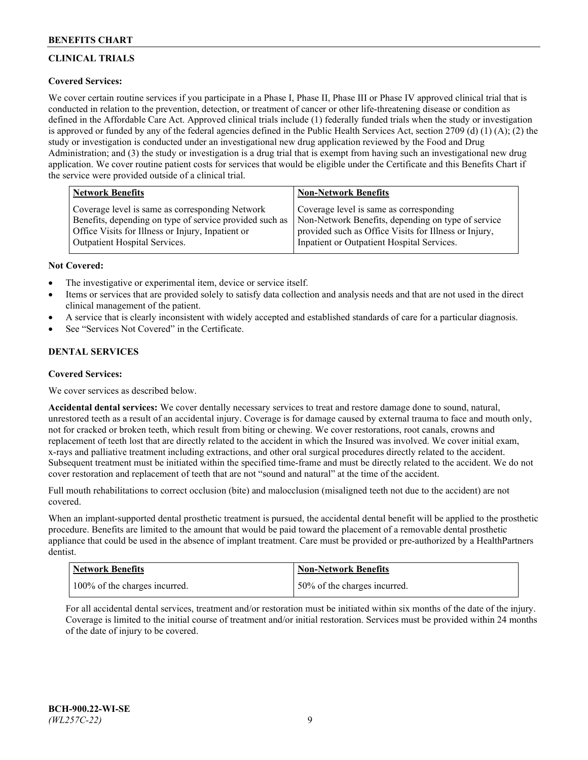# **CLINICAL TRIALS**

# **Covered Services:**

We cover certain routine services if you participate in a Phase I, Phase II, Phase III or Phase IV approved clinical trial that is conducted in relation to the prevention, detection, or treatment of cancer or other life-threatening disease or condition as defined in the Affordable Care Act. Approved clinical trials include (1) federally funded trials when the study or investigation is approved or funded by any of the federal agencies defined in the Public Health Services Act, section 2709 (d) (1) (A); (2) the study or investigation is conducted under an investigational new drug application reviewed by the Food and Drug Administration; and (3) the study or investigation is a drug trial that is exempt from having such an investigational new drug application. We cover routine patient costs for services that would be eligible under the Certificate and this Benefits Chart if the service were provided outside of a clinical trial.

| <b>Network Benefits</b>                                 | <b>Non-Network Benefits</b>                           |
|---------------------------------------------------------|-------------------------------------------------------|
| Coverage level is same as corresponding Network         | Coverage level is same as corresponding               |
| Benefits, depending on type of service provided such as | Non-Network Benefits, depending on type of service    |
| Office Visits for Illness or Injury, Inpatient or       | provided such as Office Visits for Illness or Injury, |
| Outpatient Hospital Services.                           | Inpatient or Outpatient Hospital Services.            |

## **Not Covered:**

- The investigative or experimental item, device or service itself.
- Items or services that are provided solely to satisfy data collection and analysis needs and that are not used in the direct clinical management of the patient.
- A service that is clearly inconsistent with widely accepted and established standards of care for a particular diagnosis.
- See "Services Not Covered" in the Certificate.

# **DENTAL SERVICES**

## **Covered Services:**

We cover services as described below.

**Accidental dental services:** We cover dentally necessary services to treat and restore damage done to sound, natural, unrestored teeth as a result of an accidental injury. Coverage is for damage caused by external trauma to face and mouth only, not for cracked or broken teeth, which result from biting or chewing. We cover restorations, root canals, crowns and replacement of teeth lost that are directly related to the accident in which the Insured was involved. We cover initial exam, x-rays and palliative treatment including extractions, and other oral surgical procedures directly related to the accident. Subsequent treatment must be initiated within the specified time-frame and must be directly related to the accident. We do not cover restoration and replacement of teeth that are not "sound and natural" at the time of the accident.

Full mouth rehabilitations to correct occlusion (bite) and malocclusion (misaligned teeth not due to the accident) are not covered.

When an implant-supported dental prosthetic treatment is pursued, the accidental dental benefit will be applied to the prosthetic procedure. Benefits are limited to the amount that would be paid toward the placement of a removable dental prosthetic appliance that could be used in the absence of implant treatment. Care must be provided or pre-authorized by a HealthPartners dentist.

| Network Benefits              | <b>Non-Network Benefits</b>  |
|-------------------------------|------------------------------|
| 100% of the charges incurred. | 50% of the charges incurred. |

For all accidental dental services, treatment and/or restoration must be initiated within six months of the date of the injury. Coverage is limited to the initial course of treatment and/or initial restoration. Services must be provided within 24 months of the date of injury to be covered.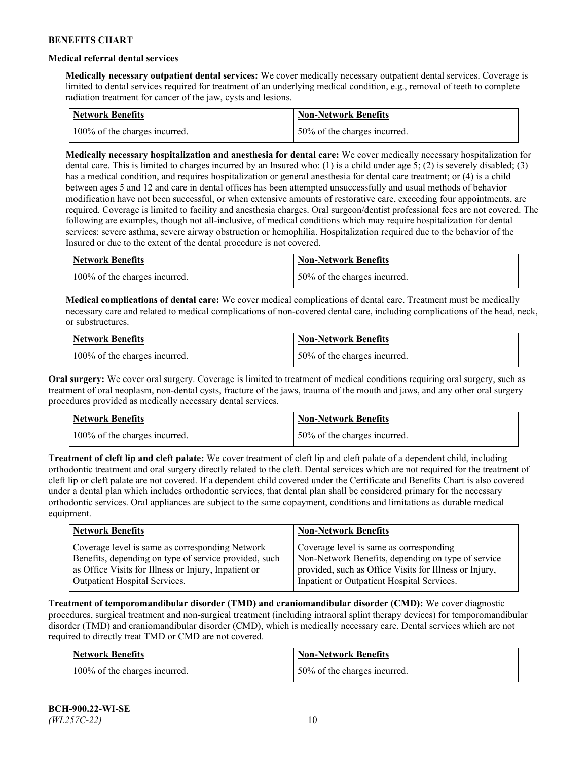# **Medical referral dental services**

**Medically necessary outpatient dental services:** We cover medically necessary outpatient dental services. Coverage is limited to dental services required for treatment of an underlying medical condition, e.g., removal of teeth to complete radiation treatment for cancer of the jaw, cysts and lesions.

| <b>Network Benefits</b>       | <b>Non-Network Benefits</b>   |
|-------------------------------|-------------------------------|
| 100% of the charges incurred. | 150% of the charges incurred. |

**Medically necessary hospitalization and anesthesia for dental care:** We cover medically necessary hospitalization for dental care. This is limited to charges incurred by an Insured who: (1) is a child under age 5; (2) is severely disabled; (3) has a medical condition, and requires hospitalization or general anesthesia for dental care treatment; or (4) is a child between ages 5 and 12 and care in dental offices has been attempted unsuccessfully and usual methods of behavior modification have not been successful, or when extensive amounts of restorative care, exceeding four appointments, are required. Coverage is limited to facility and anesthesia charges. Oral surgeon/dentist professional fees are not covered. The following are examples, though not all-inclusive, of medical conditions which may require hospitalization for dental services: severe asthma, severe airway obstruction or hemophilia. Hospitalization required due to the behavior of the Insured or due to the extent of the dental procedure is not covered.

| Network Benefits              | <b>Non-Network Benefits</b>  |
|-------------------------------|------------------------------|
| 100% of the charges incurred. | 50% of the charges incurred. |

**Medical complications of dental care:** We cover medical complications of dental care. Treatment must be medically necessary care and related to medical complications of non-covered dental care, including complications of the head, neck, or substructures.

| Network Benefits              | Non-Network Benefits         |
|-------------------------------|------------------------------|
| 100% of the charges incurred. | 50% of the charges incurred. |

**Oral surgery:** We cover oral surgery. Coverage is limited to treatment of medical conditions requiring oral surgery, such as treatment of oral neoplasm, non-dental cysts, fracture of the jaws, trauma of the mouth and jaws, and any other oral surgery procedures provided as medically necessary dental services.

| <b>Network Benefits</b>       | <b>Non-Network Benefits</b>   |
|-------------------------------|-------------------------------|
| 100% of the charges incurred. | 150% of the charges incurred. |

**Treatment of cleft lip and cleft palate:** We cover treatment of cleft lip and cleft palate of a dependent child, including orthodontic treatment and oral surgery directly related to the cleft. Dental services which are not required for the treatment of cleft lip or cleft palate are not covered. If a dependent child covered under the Certificate and Benefits Chart is also covered under a dental plan which includes orthodontic services, that dental plan shall be considered primary for the necessary orthodontic services. Oral appliances are subject to the same copayment, conditions and limitations as durable medical equipment.

| <b>Network Benefits</b>                               | <b>Non-Network Benefits</b>                            |
|-------------------------------------------------------|--------------------------------------------------------|
| Coverage level is same as corresponding Network       | Coverage level is same as corresponding                |
| Benefits, depending on type of service provided, such | Non-Network Benefits, depending on type of service     |
| as Office Visits for Illness or Injury, Inpatient or  | provided, such as Office Visits for Illness or Injury, |
| Outpatient Hospital Services.                         | Inpatient or Outpatient Hospital Services.             |

**Treatment of temporomandibular disorder (TMD) and craniomandibular disorder (CMD):** We cover diagnostic procedures, surgical treatment and non-surgical treatment (including intraoral splint therapy devices) for temporomandibular disorder (TMD) and craniomandibular disorder (CMD), which is medically necessary care. Dental services which are not required to directly treat TMD or CMD are not covered.

| <b>Network Benefits</b>       | <b>Non-Network Benefits</b>   |
|-------------------------------|-------------------------------|
| 100% of the charges incurred. | 150% of the charges incurred. |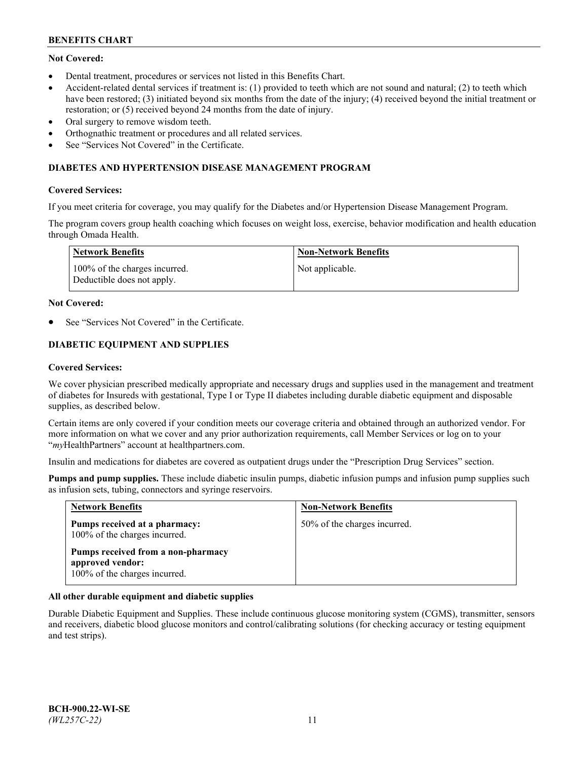# **Not Covered:**

- Dental treatment, procedures or services not listed in this Benefits Chart.
- Accident-related dental services if treatment is: (1) provided to teeth which are not sound and natural; (2) to teeth which have been restored; (3) initiated beyond six months from the date of the injury; (4) received beyond the initial treatment or restoration; or (5) received beyond 24 months from the date of injury.
- Oral surgery to remove wisdom teeth.
- Orthognathic treatment or procedures and all related services.
- See "Services Not Covered" in the Certificate.

### **DIABETES AND HYPERTENSION DISEASE MANAGEMENT PROGRAM**

### **Covered Services:**

If you meet criteria for coverage, you may qualify for the Diabetes and/or Hypertension Disease Management Program.

The program covers group health coaching which focuses on weight loss, exercise, behavior modification and health education through Omada Health.

| Network Benefits                                            | Non-Network Benefits |
|-------------------------------------------------------------|----------------------|
| 100% of the charges incurred.<br>Deductible does not apply. | Not applicable.      |

#### **Not Covered:**

See "Services Not Covered" in the Certificate.

# **DIABETIC EQUIPMENT AND SUPPLIES**

### **Covered Services:**

We cover physician prescribed medically appropriate and necessary drugs and supplies used in the management and treatment of diabetes for Insureds with gestational, Type I or Type II diabetes including durable diabetic equipment and disposable supplies, as described below.

Certain items are only covered if your condition meets our coverage criteria and obtained through an authorized vendor. For more information on what we cover and any prior authorization requirements, call Member Services or log on to your "*my*HealthPartners" account at [healthpartners.com.](http://www.healthpartners.com/)

Insulin and medications for diabetes are covered as outpatient drugs under the "Prescription Drug Services" section.

**Pumps and pump supplies.** These include diabetic insulin pumps, diabetic infusion pumps and infusion pump supplies such as infusion sets, tubing, connectors and syringe reservoirs.

| <b>Network Benefits</b>                                                                 | <b>Non-Network Benefits</b>  |
|-----------------------------------------------------------------------------------------|------------------------------|
| Pumps received at a pharmacy:<br>100% of the charges incurred.                          | 50% of the charges incurred. |
| Pumps received from a non-pharmacy<br>approved vendor:<br>100% of the charges incurred. |                              |

## **All other durable equipment and diabetic supplies**

Durable Diabetic Equipment and Supplies. These include continuous glucose monitoring system (CGMS), transmitter, sensors and receivers, diabetic blood glucose monitors and control/calibrating solutions (for checking accuracy or testing equipment and test strips).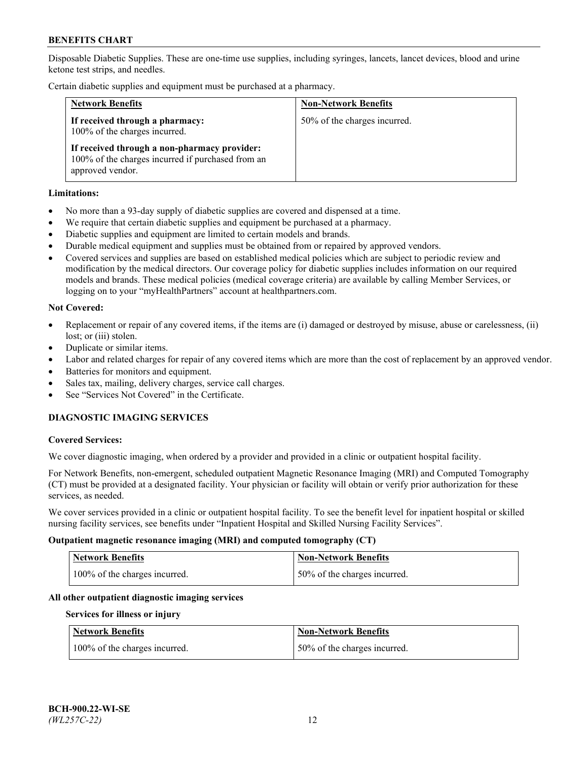Disposable Diabetic Supplies. These are one-time use supplies, including syringes, lancets, lancet devices, blood and urine ketone test strips, and needles.

Certain diabetic supplies and equipment must be purchased at a pharmacy.

| <b>Network Benefits</b>                                                                                               | <b>Non-Network Benefits</b>  |
|-----------------------------------------------------------------------------------------------------------------------|------------------------------|
| If received through a pharmacy:<br>100% of the charges incurred.                                                      | 50% of the charges incurred. |
| If received through a non-pharmacy provider:<br>100% of the charges incurred if purchased from an<br>approved vendor. |                              |

### **Limitations:**

- No more than a 93-day supply of diabetic supplies are covered and dispensed at a time.
- We require that certain diabetic supplies and equipment be purchased at a pharmacy.
- Diabetic supplies and equipment are limited to certain models and brands.
- Durable medical equipment and supplies must be obtained from or repaired by approved vendors.
- Covered services and supplies are based on established medical policies which are subject to periodic review and modification by the medical directors. Our coverage policy for diabetic supplies includes information on our required models and brands. These medical policies (medical coverage criteria) are available by calling Member Services, or logging on to your "myHealthPartners" account at [healthpartners.com.](http://www.healthpartners.com/)

### **Not Covered:**

- Replacement or repair of any covered items, if the items are (i) damaged or destroyed by misuse, abuse or carelessness, (ii) lost; or (iii) stolen.
- Duplicate or similar items.
- Labor and related charges for repair of any covered items which are more than the cost of replacement by an approved vendor.
- Batteries for monitors and equipment.
- Sales tax, mailing, delivery charges, service call charges.
- See "Services Not Covered" in the Certificate.

# **DIAGNOSTIC IMAGING SERVICES**

#### **Covered Services:**

We cover diagnostic imaging, when ordered by a provider and provided in a clinic or outpatient hospital facility.

For Network Benefits, non-emergent, scheduled outpatient Magnetic Resonance Imaging (MRI) and Computed Tomography (CT) must be provided at a designated facility. Your physician or facility will obtain or verify prior authorization for these services, as needed.

We cover services provided in a clinic or outpatient hospital facility. To see the benefit level for inpatient hospital or skilled nursing facility services, see benefits under "Inpatient Hospital and Skilled Nursing Facility Services".

#### **Outpatient magnetic resonance imaging (MRI) and computed tomography (CT)**

| <b>Network Benefits</b>       | <b>Non-Network Benefits</b>   |
|-------------------------------|-------------------------------|
| 100% of the charges incurred. | 150% of the charges incurred. |

## **All other outpatient diagnostic imaging services**

#### **Services for illness or injury**

| <b>Network Benefits</b>       | <b>Non-Network Benefits</b>  |
|-------------------------------|------------------------------|
| 100% of the charges incurred. | 50% of the charges incurred. |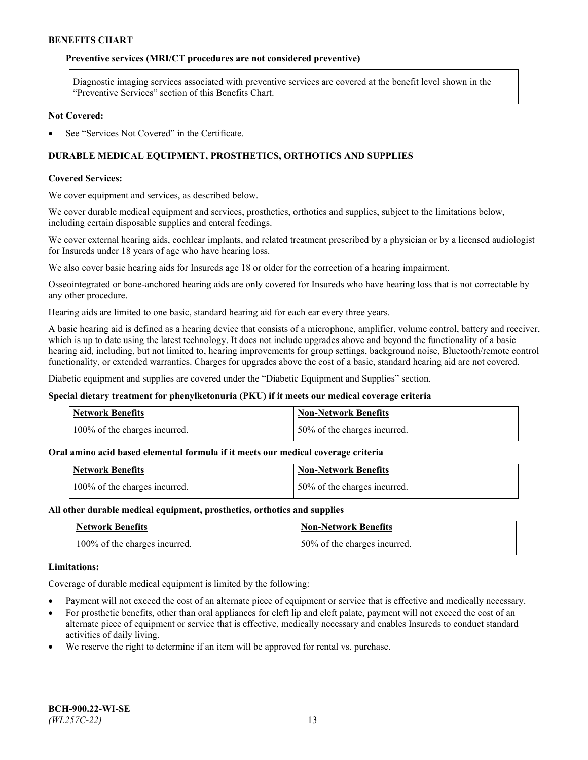### **Preventive services (MRI/CT procedures are not considered preventive)**

Diagnostic imaging services associated with preventive services are covered at the benefit level shown in the "Preventive Services" section of this Benefits Chart.

#### **Not Covered:**

See "Services Not Covered" in the Certificate.

# **DURABLE MEDICAL EQUIPMENT, PROSTHETICS, ORTHOTICS AND SUPPLIES**

#### **Covered Services:**

We cover equipment and services, as described below.

We cover durable medical equipment and services, prosthetics, orthotics and supplies, subject to the limitations below, including certain disposable supplies and enteral feedings.

We cover external hearing aids, cochlear implants, and related treatment prescribed by a physician or by a licensed audiologist for Insureds under 18 years of age who have hearing loss.

We also cover basic hearing aids for Insureds age 18 or older for the correction of a hearing impairment.

Osseointegrated or bone-anchored hearing aids are only covered for Insureds who have hearing loss that is not correctable by any other procedure.

Hearing aids are limited to one basic, standard hearing aid for each ear every three years.

A basic hearing aid is defined as a hearing device that consists of a microphone, amplifier, volume control, battery and receiver, which is up to date using the latest technology. It does not include upgrades above and beyond the functionality of a basic hearing aid, including, but not limited to, hearing improvements for group settings, background noise, Bluetooth/remote control functionality, or extended warranties. Charges for upgrades above the cost of a basic, standard hearing aid are not covered.

Diabetic equipment and supplies are covered under the "Diabetic Equipment and Supplies" section.

#### **Special dietary treatment for phenylketonuria (PKU) if it meets our medical coverage criteria**

| <b>Network Benefits</b>       | <b>Non-Network Benefits</b>   |
|-------------------------------|-------------------------------|
| 100% of the charges incurred. | 150% of the charges incurred. |

#### **Oral amino acid based elemental formula if it meets our medical coverage criteria**

| Network Benefits              | Non-Network Benefits         |
|-------------------------------|------------------------------|
| 100% of the charges incurred. | 50% of the charges incurred. |

#### **All other durable medical equipment, prosthetics, orthotics and supplies**

| <b>Network Benefits</b>       | <b>Non-Network Benefits</b>  |
|-------------------------------|------------------------------|
| 100% of the charges incurred. | 50% of the charges incurred. |

#### **Limitations:**

Coverage of durable medical equipment is limited by the following:

- Payment will not exceed the cost of an alternate piece of equipment or service that is effective and medically necessary.
- For prosthetic benefits, other than oral appliances for cleft lip and cleft palate, payment will not exceed the cost of an alternate piece of equipment or service that is effective, medically necessary and enables Insureds to conduct standard activities of daily living.
- We reserve the right to determine if an item will be approved for rental vs. purchase.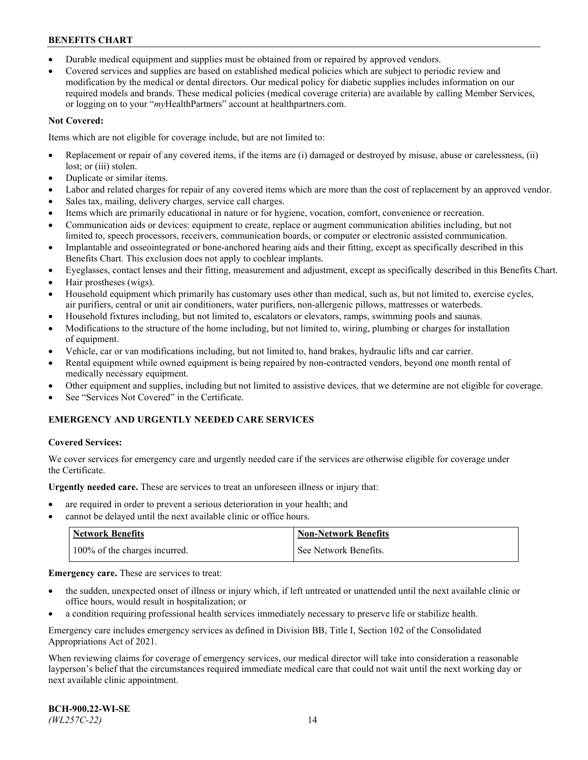- Durable medical equipment and supplies must be obtained from or repaired by approved vendors.
- Covered services and supplies are based on established medical policies which are subject to periodic review and modification by the medical or dental directors. Our medical policy for diabetic supplies includes information on our required models and brands. These medical policies (medical coverage criteria) are available by calling Member Services, or logging on to your "*my*HealthPartners" account a[t healthpartners.com.](http://www.healthpartners.com/)

# **Not Covered:**

Items which are not eligible for coverage include, but are not limited to:

- Replacement or repair of any covered items, if the items are (i) damaged or destroyed by misuse, abuse or carelessness, (ii) lost; or (iii) stolen.
- Duplicate or similar items.
- Labor and related charges for repair of any covered items which are more than the cost of replacement by an approved vendor.
- Sales tax, mailing, delivery charges, service call charges.
- Items which are primarily educational in nature or for hygiene, vocation, comfort, convenience or recreation.
- Communication aids or devices: equipment to create, replace or augment communication abilities including, but not limited to, speech processors, receivers, communication boards, or computer or electronic assisted communication.
- Implantable and osseointegrated or bone-anchored hearing aids and their fitting, except as specifically described in this Benefits Chart. This exclusion does not apply to cochlear implants.
- Eyeglasses, contact lenses and their fitting, measurement and adjustment, except as specifically described in this Benefits Chart.
- Hair prostheses (wigs).
- Household equipment which primarily has customary uses other than medical, such as, but not limited to, exercise cycles, air purifiers, central or unit air conditioners, water purifiers, non-allergenic pillows, mattresses or waterbeds.
- Household fixtures including, but not limited to, escalators or elevators, ramps, swimming pools and saunas.
- Modifications to the structure of the home including, but not limited to, wiring, plumbing or charges for installation of equipment.
- Vehicle, car or van modifications including, but not limited to, hand brakes, hydraulic lifts and car carrier.
- Rental equipment while owned equipment is being repaired by non-contracted vendors, beyond one month rental of medically necessary equipment.
- Other equipment and supplies, including but not limited to assistive devices, that we determine are not eligible for coverage.
- See "Services Not Covered" in the Certificate.

# **EMERGENCY AND URGENTLY NEEDED CARE SERVICES**

## **Covered Services:**

We cover services for emergency care and urgently needed care if the services are otherwise eligible for coverage under the Certificate.

**Urgently needed care.** These are services to treat an unforeseen illness or injury that:

- are required in order to prevent a serious deterioration in your health; and
- cannot be delayed until the next available clinic or office hours.

| <b>Network Benefits</b>       | <b>Non-Network Benefits</b> |
|-------------------------------|-----------------------------|
| 100% of the charges incurred. | See Network Benefits.       |

**Emergency care.** These are services to treat:

- the sudden, unexpected onset of illness or injury which, if left untreated or unattended until the next available clinic or office hours, would result in hospitalization; or
- a condition requiring professional health services immediately necessary to preserve life or stabilize health.

Emergency care includes emergency services as defined in Division BB, Title I, Section 102 of the Consolidated Appropriations Act of 2021.

When reviewing claims for coverage of emergency services, our medical director will take into consideration a reasonable layperson's belief that the circumstances required immediate medical care that could not wait until the next working day or next available clinic appointment.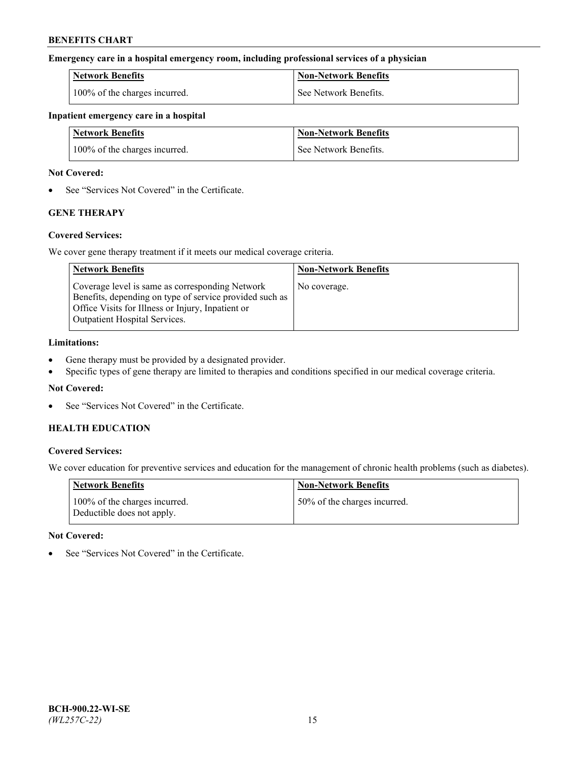### **Emergency care in a hospital emergency room, including professional services of a physician**

| <b>Network Benefits</b>       | <b>Non-Network Benefits</b> |
|-------------------------------|-----------------------------|
| 100% of the charges incurred. | See Network Benefits.       |

### **Inpatient emergency care in a hospital**

| <b>Network Benefits</b>       | <b>Non-Network Benefits</b> |
|-------------------------------|-----------------------------|
| 100% of the charges incurred. | See Network Benefits.       |

### **Not Covered:**

• See "Services Not Covered" in the Certificate.

# **GENE THERAPY**

## **Covered Services:**

We cover gene therapy treatment if it meets our medical coverage criteria.

| <b>Network Benefits</b>                                                                                                                                                                          | <b>Non-Network Benefits</b> |
|--------------------------------------------------------------------------------------------------------------------------------------------------------------------------------------------------|-----------------------------|
| Coverage level is same as corresponding Network<br>Benefits, depending on type of service provided such as<br>Office Visits for Illness or Injury, Inpatient or<br>Outpatient Hospital Services. | No coverage.                |

### **Limitations:**

- Gene therapy must be provided by a designated provider.
- Specific types of gene therapy are limited to therapies and conditions specified in our medical coverage criteria.

## **Not Covered:**

See "Services Not Covered" in the Certificate.

# **HEALTH EDUCATION**

## **Covered Services:**

We cover education for preventive services and education for the management of chronic health problems (such as diabetes).

| <b>Network Benefits</b>                                     | <b>Non-Network Benefits</b>  |
|-------------------------------------------------------------|------------------------------|
| 100% of the charges incurred.<br>Deductible does not apply. | 50% of the charges incurred. |

#### **Not Covered:**

See "Services Not Covered" in the Certificate.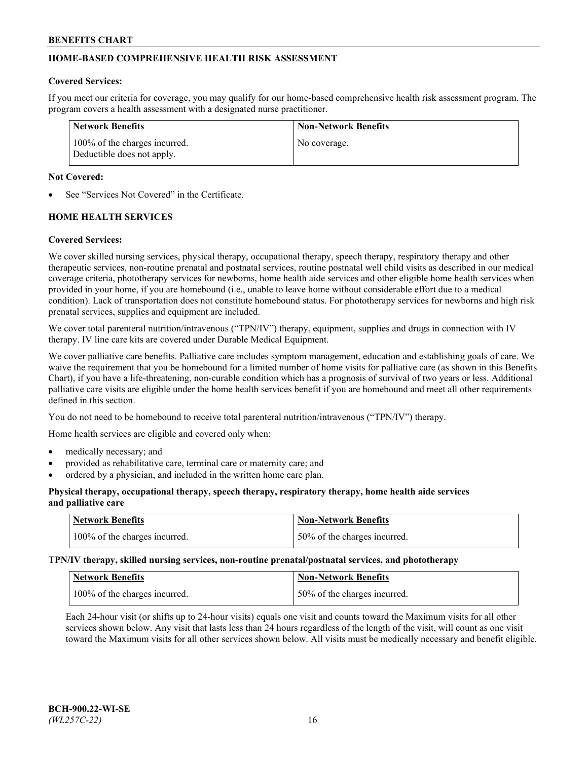# **HOME-BASED COMPREHENSIVE HEALTH RISK ASSESSMENT**

#### **Covered Services:**

If you meet our criteria for coverage, you may qualify for our home-based comprehensive health risk assessment program. The program covers a health assessment with a designated nurse practitioner.

| Network Benefits                                            | <b>Non-Network Benefits</b> |
|-------------------------------------------------------------|-----------------------------|
| 100% of the charges incurred.<br>Deductible does not apply. | No coverage.                |

### **Not Covered:**

See "Services Not Covered" in the Certificate.

# **HOME HEALTH SERVICES**

### **Covered Services:**

We cover skilled nursing services, physical therapy, occupational therapy, speech therapy, respiratory therapy and other therapeutic services, non-routine prenatal and postnatal services, routine postnatal well child visits as described in our medical coverage criteria, phototherapy services for newborns, home health aide services and other eligible home health services when provided in your home, if you are homebound (i.e., unable to leave home without considerable effort due to a medical condition). Lack of transportation does not constitute homebound status. For phototherapy services for newborns and high risk prenatal services, supplies and equipment are included.

We cover total parenteral nutrition/intravenous ("TPN/IV") therapy, equipment, supplies and drugs in connection with IV therapy. IV line care kits are covered under Durable Medical Equipment.

We cover palliative care benefits. Palliative care includes symptom management, education and establishing goals of care. We waive the requirement that you be homebound for a limited number of home visits for palliative care (as shown in this Benefits Chart), if you have a life-threatening, non-curable condition which has a prognosis of survival of two years or less. Additional palliative care visits are eligible under the home health services benefit if you are homebound and meet all other requirements defined in this section.

You do not need to be homebound to receive total parenteral nutrition/intravenous ("TPN/IV") therapy.

Home health services are eligible and covered only when:

- medically necessary; and
- provided as rehabilitative care, terminal care or maternity care; and
- ordered by a physician, and included in the written home care plan.

### **Physical therapy, occupational therapy, speech therapy, respiratory therapy, home health aide services and palliative care**

| Network Benefits              | <b>Non-Network Benefits</b>  |
|-------------------------------|------------------------------|
| 100% of the charges incurred. | 50% of the charges incurred. |

**TPN/IV therapy, skilled nursing services, non-routine prenatal/postnatal services, and phototherapy**

| Network Benefits              | Non-Network Benefits         |
|-------------------------------|------------------------------|
| 100% of the charges incurred. | 50% of the charges incurred. |

Each 24-hour visit (or shifts up to 24-hour visits) equals one visit and counts toward the Maximum visits for all other services shown below. Any visit that lasts less than 24 hours regardless of the length of the visit, will count as one visit toward the Maximum visits for all other services shown below. All visits must be medically necessary and benefit eligible.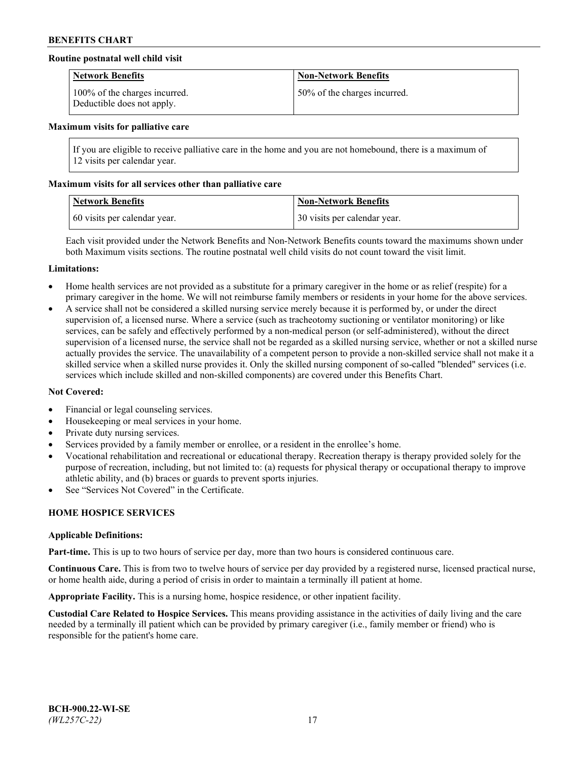## **Routine postnatal well child visit**

| <b>Network Benefits</b>                                     | <b>Non-Network Benefits</b>  |
|-------------------------------------------------------------|------------------------------|
| 100% of the charges incurred.<br>Deductible does not apply. | 50% of the charges incurred. |

#### **Maximum visits for palliative care**

If you are eligible to receive palliative care in the home and you are not homebound, there is a maximum of 12 visits per calendar year.

### **Maximum visits for all services other than palliative care**

| <b>Network Benefits</b>      | <b>Non-Network Benefits</b>  |
|------------------------------|------------------------------|
| 60 visits per calendar year. | 30 visits per calendar year. |

Each visit provided under the Network Benefits and Non-Network Benefits counts toward the maximums shown under both Maximum visits sections. The routine postnatal well child visits do not count toward the visit limit.

#### **Limitations:**

- Home health services are not provided as a substitute for a primary caregiver in the home or as relief (respite) for a primary caregiver in the home. We will not reimburse family members or residents in your home for the above services.
- A service shall not be considered a skilled nursing service merely because it is performed by, or under the direct supervision of, a licensed nurse. Where a service (such as tracheotomy suctioning or ventilator monitoring) or like services, can be safely and effectively performed by a non-medical person (or self-administered), without the direct supervision of a licensed nurse, the service shall not be regarded as a skilled nursing service, whether or not a skilled nurse actually provides the service. The unavailability of a competent person to provide a non-skilled service shall not make it a skilled service when a skilled nurse provides it. Only the skilled nursing component of so-called "blended" services (i.e. services which include skilled and non-skilled components) are covered under this Benefits Chart.

#### **Not Covered:**

- Financial or legal counseling services.
- Housekeeping or meal services in your home.
- Private duty nursing services.
- Services provided by a family member or enrollee, or a resident in the enrollee's home.
- Vocational rehabilitation and recreational or educational therapy. Recreation therapy is therapy provided solely for the purpose of recreation, including, but not limited to: (a) requests for physical therapy or occupational therapy to improve athletic ability, and (b) braces or guards to prevent sports injuries.
- See "Services Not Covered" in the Certificate.

# **HOME HOSPICE SERVICES**

#### **Applicable Definitions:**

**Part-time.** This is up to two hours of service per day, more than two hours is considered continuous care.

**Continuous Care.** This is from two to twelve hours of service per day provided by a registered nurse, licensed practical nurse, or home health aide, during a period of crisis in order to maintain a terminally ill patient at home.

**Appropriate Facility.** This is a nursing home, hospice residence, or other inpatient facility.

**Custodial Care Related to Hospice Services.** This means providing assistance in the activities of daily living and the care needed by a terminally ill patient which can be provided by primary caregiver (i.e., family member or friend) who is responsible for the patient's home care.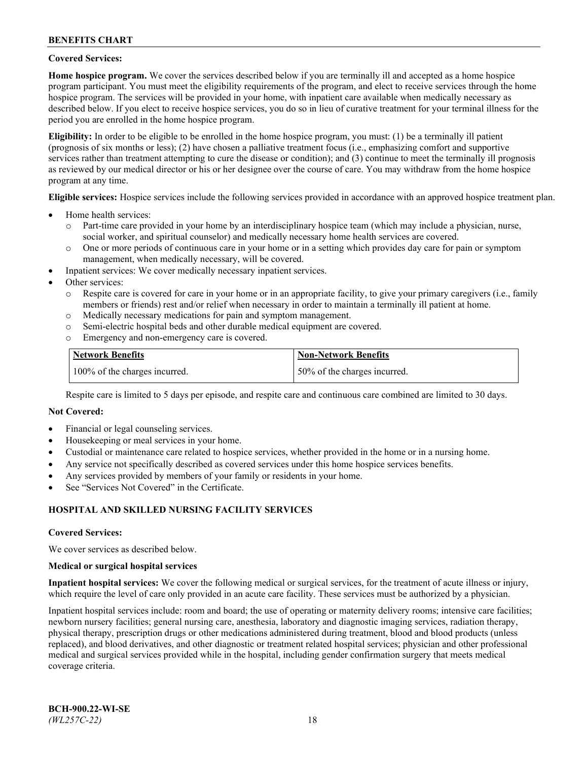### **Covered Services:**

**Home hospice program.** We cover the services described below if you are terminally ill and accepted as a home hospice program participant. You must meet the eligibility requirements of the program, and elect to receive services through the home hospice program. The services will be provided in your home, with inpatient care available when medically necessary as described below. If you elect to receive hospice services, you do so in lieu of curative treatment for your terminal illness for the period you are enrolled in the home hospice program.

**Eligibility:** In order to be eligible to be enrolled in the home hospice program, you must: (1) be a terminally ill patient (prognosis of six months or less); (2) have chosen a palliative treatment focus (i.e., emphasizing comfort and supportive services rather than treatment attempting to cure the disease or condition); and (3) continue to meet the terminally ill prognosis as reviewed by our medical director or his or her designee over the course of care. You may withdraw from the home hospice program at any time.

**Eligible services:** Hospice services include the following services provided in accordance with an approved hospice treatment plan.

- Home health services:
	- o Part-time care provided in your home by an interdisciplinary hospice team (which may include a physician, nurse, social worker, and spiritual counselor) and medically necessary home health services are covered.
	- o One or more periods of continuous care in your home or in a setting which provides day care for pain or symptom management, when medically necessary, will be covered.
- Inpatient services: We cover medically necessary inpatient services.
- Other services:
	- o Respite care is covered for care in your home or in an appropriate facility, to give your primary caregivers (i.e., family members or friends) rest and/or relief when necessary in order to maintain a terminally ill patient at home.
	- o Medically necessary medications for pain and symptom management.
	- o Semi-electric hospital beds and other durable medical equipment are covered.
	- Emergency and non-emergency care is covered.

| Network Benefits              | <b>Non-Network Benefits</b>  |
|-------------------------------|------------------------------|
| 100% of the charges incurred. | 50% of the charges incurred. |

Respite care is limited to 5 days per episode, and respite care and continuous care combined are limited to 30 days.

### **Not Covered:**

- Financial or legal counseling services.
- Housekeeping or meal services in your home.
- Custodial or maintenance care related to hospice services, whether provided in the home or in a nursing home.
- Any service not specifically described as covered services under this home hospice services benefits.
- Any services provided by members of your family or residents in your home.
- See "Services Not Covered" in the Certificate.

## **HOSPITAL AND SKILLED NURSING FACILITY SERVICES**

#### **Covered Services:**

We cover services as described below.

#### **Medical or surgical hospital services**

**Inpatient hospital services:** We cover the following medical or surgical services, for the treatment of acute illness or injury, which require the level of care only provided in an acute care facility. These services must be authorized by a physician.

Inpatient hospital services include: room and board; the use of operating or maternity delivery rooms; intensive care facilities; newborn nursery facilities; general nursing care, anesthesia, laboratory and diagnostic imaging services, radiation therapy, physical therapy, prescription drugs or other medications administered during treatment, blood and blood products (unless replaced), and blood derivatives, and other diagnostic or treatment related hospital services; physician and other professional medical and surgical services provided while in the hospital, including gender confirmation surgery that meets medical coverage criteria.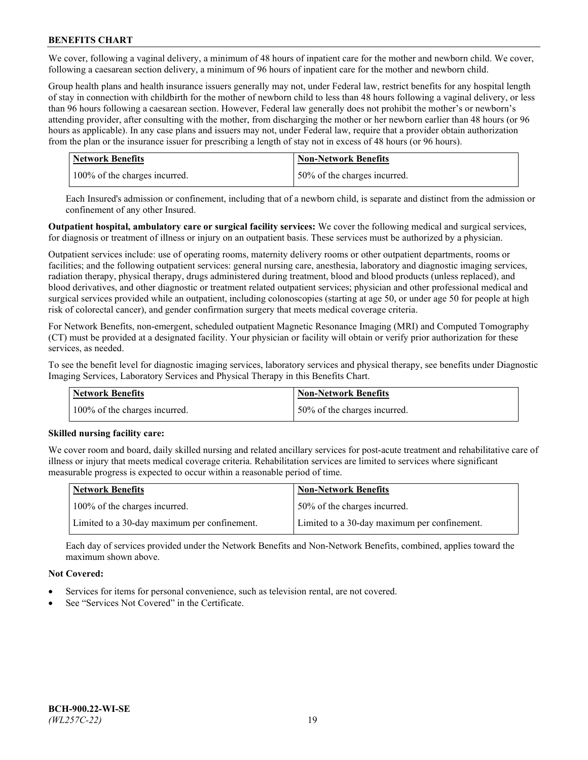We cover, following a vaginal delivery, a minimum of 48 hours of inpatient care for the mother and newborn child. We cover, following a caesarean section delivery, a minimum of 96 hours of inpatient care for the mother and newborn child.

Group health plans and health insurance issuers generally may not, under Federal law, restrict benefits for any hospital length of stay in connection with childbirth for the mother of newborn child to less than 48 hours following a vaginal delivery, or less than 96 hours following a caesarean section. However, Federal law generally does not prohibit the mother's or newborn's attending provider, after consulting with the mother, from discharging the mother or her newborn earlier than 48 hours (or 96 hours as applicable). In any case plans and issuers may not, under Federal law, require that a provider obtain authorization from the plan or the insurance issuer for prescribing a length of stay not in excess of 48 hours (or 96 hours).

| Network Benefits              | <b>Non-Network Benefits</b>  |
|-------------------------------|------------------------------|
| 100% of the charges incurred. | 50% of the charges incurred. |

Each Insured's admission or confinement, including that of a newborn child, is separate and distinct from the admission or confinement of any other Insured.

**Outpatient hospital, ambulatory care or surgical facility services:** We cover the following medical and surgical services, for diagnosis or treatment of illness or injury on an outpatient basis. These services must be authorized by a physician.

Outpatient services include: use of operating rooms, maternity delivery rooms or other outpatient departments, rooms or facilities; and the following outpatient services: general nursing care, anesthesia, laboratory and diagnostic imaging services, radiation therapy, physical therapy, drugs administered during treatment, blood and blood products (unless replaced), and blood derivatives, and other diagnostic or treatment related outpatient services; physician and other professional medical and surgical services provided while an outpatient, including colonoscopies (starting at age 50, or under age 50 for people at high risk of colorectal cancer), and gender confirmation surgery that meets medical coverage criteria.

For Network Benefits, non-emergent, scheduled outpatient Magnetic Resonance Imaging (MRI) and Computed Tomography (CT) must be provided at a designated facility. Your physician or facility will obtain or verify prior authorization for these services, as needed.

To see the benefit level for diagnostic imaging services, laboratory services and physical therapy, see benefits under Diagnostic Imaging Services, Laboratory Services and Physical Therapy in this Benefits Chart.

| <b>Network Benefits</b>       | <b>Non-Network Benefits</b>  |
|-------------------------------|------------------------------|
| 100% of the charges incurred. | 50% of the charges incurred. |

## **Skilled nursing facility care:**

We cover room and board, daily skilled nursing and related ancillary services for post-acute treatment and rehabilitative care of illness or injury that meets medical coverage criteria. Rehabilitation services are limited to services where significant measurable progress is expected to occur within a reasonable period of time.

| Network Benefits                             | <b>Non-Network Benefits</b>                  |
|----------------------------------------------|----------------------------------------------|
| 100% of the charges incurred.                | 50% of the charges incurred.                 |
| Limited to a 30-day maximum per confinement. | Limited to a 30-day maximum per confinement. |

Each day of services provided under the Network Benefits and Non-Network Benefits, combined, applies toward the maximum shown above.

## **Not Covered:**

- Services for items for personal convenience, such as television rental, are not covered.
- See "Services Not Covered" in the Certificate.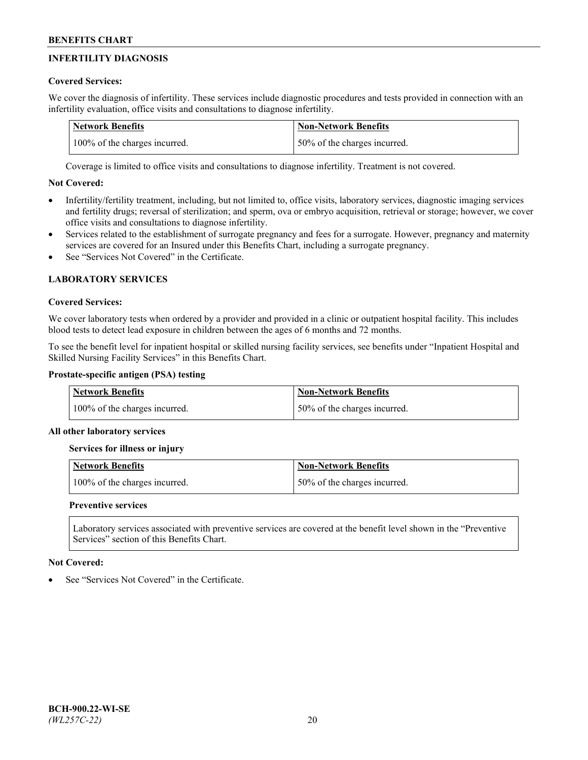# **INFERTILITY DIAGNOSIS**

# **Covered Services:**

We cover the diagnosis of infertility. These services include diagnostic procedures and tests provided in connection with an infertility evaluation, office visits and consultations to diagnose infertility.

| <b>Network Benefits</b>       | <b>Non-Network Benefits</b>  |
|-------------------------------|------------------------------|
| 100% of the charges incurred. | 50% of the charges incurred. |

Coverage is limited to office visits and consultations to diagnose infertility. Treatment is not covered.

# **Not Covered:**

- Infertility/fertility treatment, including, but not limited to, office visits, laboratory services, diagnostic imaging services and fertility drugs; reversal of sterilization; and sperm, ova or embryo acquisition, retrieval or storage; however, we cover office visits and consultations to diagnose infertility.
- Services related to the establishment of surrogate pregnancy and fees for a surrogate. However, pregnancy and maternity services are covered for an Insured under this Benefits Chart, including a surrogate pregnancy.
- See "Services Not Covered" in the Certificate

# **LABORATORY SERVICES**

## **Covered Services:**

We cover laboratory tests when ordered by a provider and provided in a clinic or outpatient hospital facility. This includes blood tests to detect lead exposure in children between the ages of 6 months and 72 months.

To see the benefit level for inpatient hospital or skilled nursing facility services, see benefits under "Inpatient Hospital and Skilled Nursing Facility Services" in this Benefits Chart.

# **Prostate-specific antigen (PSA) testing**

| Network Benefits              | <b>Non-Network Benefits</b>  |
|-------------------------------|------------------------------|
| 100% of the charges incurred. | 50% of the charges incurred. |

## **All other laboratory services**

**Services for illness or injury**

| <b>Network Benefits</b>       | 'Non-Network Benefits        |
|-------------------------------|------------------------------|
| 100% of the charges incurred. | 50% of the charges incurred. |

## **Preventive services**

Laboratory services associated with preventive services are covered at the benefit level shown in the "Preventive Services" section of this Benefits Chart.

## **Not Covered:**

See "Services Not Covered" in the Certificate.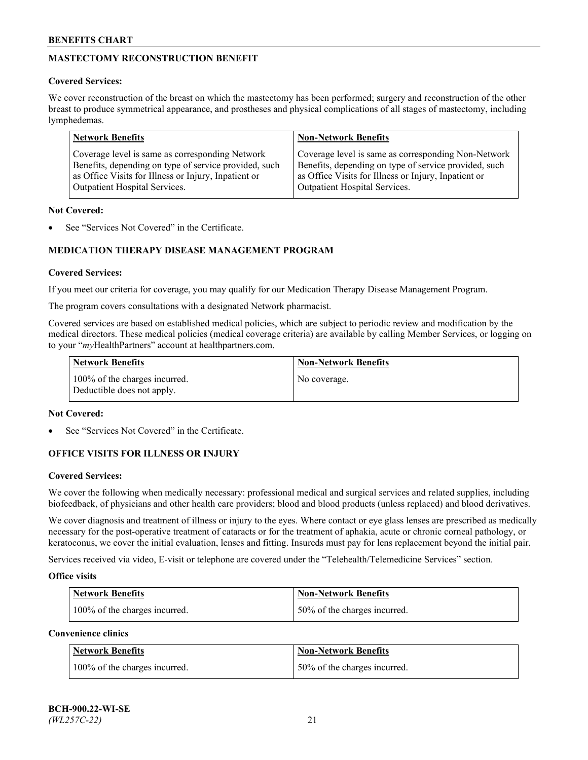# **MASTECTOMY RECONSTRUCTION BENEFIT**

## **Covered Services:**

We cover reconstruction of the breast on which the mastectomy has been performed; surgery and reconstruction of the other breast to produce symmetrical appearance, and prostheses and physical complications of all stages of mastectomy, including lymphedemas.

| <b>Network Benefits</b>                               | <b>Non-Network Benefits</b>                           |
|-------------------------------------------------------|-------------------------------------------------------|
| Coverage level is same as corresponding Network       | Coverage level is same as corresponding Non-Network   |
| Benefits, depending on type of service provided, such | Benefits, depending on type of service provided, such |
| as Office Visits for Illness or Injury, Inpatient or  | as Office Visits for Illness or Injury, Inpatient or  |
| Outpatient Hospital Services.                         | Outpatient Hospital Services.                         |

### **Not Covered:**

See "Services Not Covered" in the Certificate.

# **MEDICATION THERAPY DISEASE MANAGEMENT PROGRAM**

## **Covered Services:**

If you meet our criteria for coverage, you may qualify for our Medication Therapy Disease Management Program.

The program covers consultations with a designated Network pharmacist.

Covered services are based on established medical policies, which are subject to periodic review and modification by the medical directors. These medical policies (medical coverage criteria) are available by calling Member Services, or logging on to your "*my*HealthPartners" account at [healthpartners.com.](http://www.healthpartners.com/)

| Network Benefits                                            | <b>Non-Network Benefits</b> |
|-------------------------------------------------------------|-----------------------------|
| 100% of the charges incurred.<br>Deductible does not apply. | No coverage.                |

### **Not Covered:**

See "Services Not Covered" in the Certificate.

## **OFFICE VISITS FOR ILLNESS OR INJURY**

#### **Covered Services:**

We cover the following when medically necessary: professional medical and surgical services and related supplies, including biofeedback, of physicians and other health care providers; blood and blood products (unless replaced) and blood derivatives.

We cover diagnosis and treatment of illness or injury to the eyes. Where contact or eye glass lenses are prescribed as medically necessary for the post-operative treatment of cataracts or for the treatment of aphakia, acute or chronic corneal pathology, or keratoconus, we cover the initial evaluation, lenses and fitting. Insureds must pay for lens replacement beyond the initial pair.

Services received via video, E-visit or telephone are covered under the "Telehealth/Telemedicine Services" section.

#### **Office visits**

| <b>Network Benefits</b>       | <b>Non-Network Benefits</b>  |
|-------------------------------|------------------------------|
| 100% of the charges incurred. | 50% of the charges incurred. |

**Convenience clinics**

| <b>Network Benefits</b>       | <b>Non-Network Benefits</b>   |
|-------------------------------|-------------------------------|
| 100% of the charges incurred. | 150% of the charges incurred. |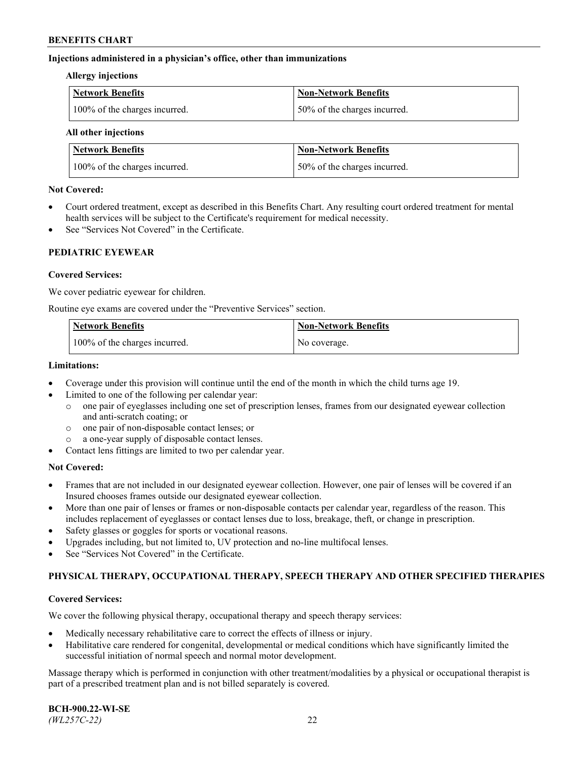### **Injections administered in a physician's office, other than immunizations**

#### **Allergy injections**

| Network Benefits              | Non-Network Benefits          |
|-------------------------------|-------------------------------|
| 100% of the charges incurred. | 150% of the charges incurred. |

#### **All other injections**

| <b>Network Benefits</b>       | <b>Non-Network Benefits</b>  |
|-------------------------------|------------------------------|
| 100% of the charges incurred. | 50% of the charges incurred. |

### **Not Covered:**

- Court ordered treatment, except as described in this Benefits Chart. Any resulting court ordered treatment for mental health services will be subject to the Certificate's requirement for medical necessity.
- See "Services Not Covered" in the Certificate.

## **PEDIATRIC EYEWEAR**

### **Covered Services:**

We cover pediatric eyewear for children.

Routine eye exams are covered under the "Preventive Services" section.

| Network Benefits              | <b>Non-Network Benefits</b> |
|-------------------------------|-----------------------------|
| 100% of the charges incurred. | No coverage.                |

### **Limitations:**

- Coverage under this provision will continue until the end of the month in which the child turns age 19.
- Limited to one of the following per calendar year:
	- o one pair of eyeglasses including one set of prescription lenses, frames from our designated eyewear collection and anti-scratch coating; or
	- o one pair of non-disposable contact lenses; or
	- o a one-year supply of disposable contact lenses.
- Contact lens fittings are limited to two per calendar year.

## **Not Covered:**

- Frames that are not included in our designated eyewear collection. However, one pair of lenses will be covered if an Insured chooses frames outside our designated eyewear collection.
- More than one pair of lenses or frames or non-disposable contacts per calendar year, regardless of the reason. This includes replacement of eyeglasses or contact lenses due to loss, breakage, theft, or change in prescription.
- Safety glasses or goggles for sports or vocational reasons.
- Upgrades including, but not limited to, UV protection and no-line multifocal lenses.
- See "Services Not Covered" in the Certificate.

## **PHYSICAL THERAPY, OCCUPATIONAL THERAPY, SPEECH THERAPY AND OTHER SPECIFIED THERAPIES**

#### **Covered Services:**

We cover the following physical therapy, occupational therapy and speech therapy services:

- Medically necessary rehabilitative care to correct the effects of illness or injury.
- Habilitative care rendered for congenital, developmental or medical conditions which have significantly limited the successful initiation of normal speech and normal motor development.

Massage therapy which is performed in conjunction with other treatment/modalities by a physical or occupational therapist is part of a prescribed treatment plan and is not billed separately is covered.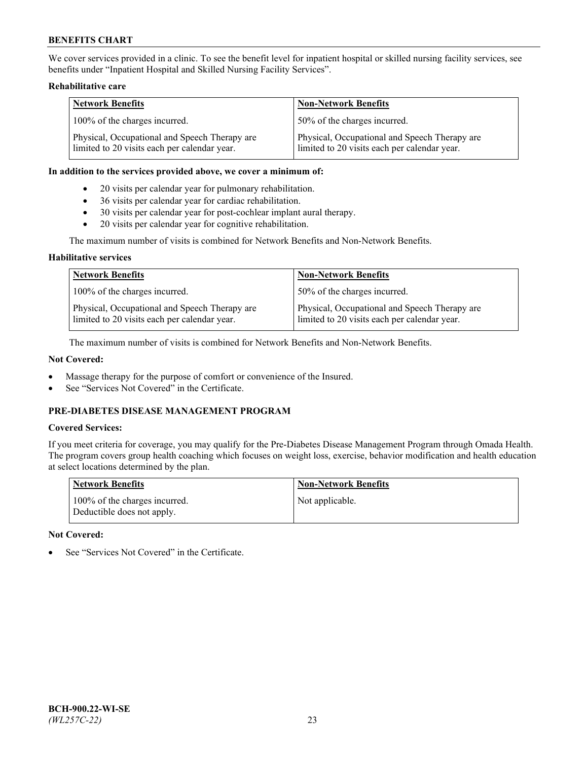We cover services provided in a clinic. To see the benefit level for inpatient hospital or skilled nursing facility services, see benefits under "Inpatient Hospital and Skilled Nursing Facility Services".

### **Rehabilitative care**

| <b>Network Benefits</b>                                                                       | <b>Non-Network Benefits</b>                                                                   |
|-----------------------------------------------------------------------------------------------|-----------------------------------------------------------------------------------------------|
| 100% of the charges incurred.                                                                 | 50% of the charges incurred.                                                                  |
| Physical, Occupational and Speech Therapy are<br>limited to 20 visits each per calendar year. | Physical, Occupational and Speech Therapy are<br>limited to 20 visits each per calendar year. |

#### **In addition to the services provided above, we cover a minimum of:**

- 20 visits per calendar year for pulmonary rehabilitation.
- 36 visits per calendar year for cardiac rehabilitation.
- 30 visits per calendar year for post-cochlear implant aural therapy.
- 20 visits per calendar year for cognitive rehabilitation.

The maximum number of visits is combined for Network Benefits and Non-Network Benefits.

### **Habilitative services**

| <b>Network Benefits</b>                                                                       | <b>Non-Network Benefits</b>                                                                   |
|-----------------------------------------------------------------------------------------------|-----------------------------------------------------------------------------------------------|
| 100% of the charges incurred.                                                                 | 50% of the charges incurred.                                                                  |
| Physical, Occupational and Speech Therapy are<br>limited to 20 visits each per calendar year. | Physical, Occupational and Speech Therapy are<br>limited to 20 visits each per calendar year. |

The maximum number of visits is combined for Network Benefits and Non-Network Benefits.

## **Not Covered:**

- Massage therapy for the purpose of comfort or convenience of the Insured.
- See "Services Not Covered" in the Certificate.

# **PRE-DIABETES DISEASE MANAGEMENT PROGRAM**

# **Covered Services:**

If you meet criteria for coverage, you may qualify for the Pre-Diabetes Disease Management Program through Omada Health. The program covers group health coaching which focuses on weight loss, exercise, behavior modification and health education at select locations determined by the plan.

| <b>Network Benefits</b>                                     | <b>Non-Network Benefits</b> |
|-------------------------------------------------------------|-----------------------------|
| 100% of the charges incurred.<br>Deductible does not apply. | Not applicable.             |

## **Not Covered:**

See "Services Not Covered" in the Certificate.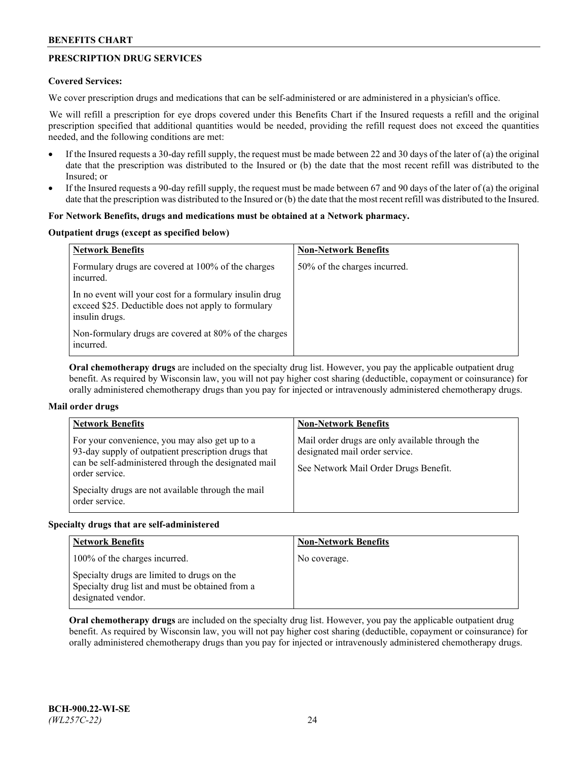# **PRESCRIPTION DRUG SERVICES**

### **Covered Services:**

We cover prescription drugs and medications that can be self-administered or are administered in a physician's office.

We will refill a prescription for eye drops covered under this Benefits Chart if the Insured requests a refill and the original prescription specified that additional quantities would be needed, providing the refill request does not exceed the quantities needed, and the following conditions are met:

- If the Insured requests a 30-day refill supply, the request must be made between 22 and 30 days of the later of (a) the original date that the prescription was distributed to the Insured or (b) the date that the most recent refill was distributed to the Insured; or
- If the Insured requests a 90-day refill supply, the request must be made between 67 and 90 days of the later of (a) the original date that the prescription was distributed to the Insured or (b) the date that the most recent refill was distributed to the Insured.

### **For Network Benefits, drugs and medications must be obtained at a Network pharmacy.**

#### **Outpatient drugs (except as specified below)**

| <b>Network Benefits</b>                                                                                                          | <b>Non-Network Benefits</b>  |
|----------------------------------------------------------------------------------------------------------------------------------|------------------------------|
| Formulary drugs are covered at 100% of the charges<br>incurred.                                                                  | 50% of the charges incurred. |
| In no event will your cost for a formulary insulin drug<br>exceed \$25. Deductible does not apply to formulary<br>insulin drugs. |                              |
| Non-formulary drugs are covered at 80% of the charges<br>incurred.                                                               |                              |

**Oral chemotherapy drugs** are included on the specialty drug list. However, you pay the applicable outpatient drug benefit. As required by Wisconsin law, you will not pay higher cost sharing (deductible, copayment or coinsurance) for orally administered chemotherapy drugs than you pay for injected or intravenously administered chemotherapy drugs.

## **Mail order drugs**

| <b>Network Benefits</b>                                                                                                                                                                                                                                 | <b>Non-Network Benefits</b>                                                                                                |
|---------------------------------------------------------------------------------------------------------------------------------------------------------------------------------------------------------------------------------------------------------|----------------------------------------------------------------------------------------------------------------------------|
| For your convenience, you may also get up to a<br>93-day supply of outpatient prescription drugs that<br>can be self-administered through the designated mail<br>order service.<br>Specialty drugs are not available through the mail<br>order service. | Mail order drugs are only available through the<br>designated mail order service.<br>See Network Mail Order Drugs Benefit. |

#### **Specialty drugs that are self-administered**

| <b>Network Benefits</b>                                                                                              | <b>Non-Network Benefits</b> |
|----------------------------------------------------------------------------------------------------------------------|-----------------------------|
| 100% of the charges incurred.                                                                                        | No coverage.                |
| Specialty drugs are limited to drugs on the<br>Specialty drug list and must be obtained from a<br>designated vendor. |                             |

**Oral chemotherapy drugs** are included on the specialty drug list. However, you pay the applicable outpatient drug benefit. As required by Wisconsin law, you will not pay higher cost sharing (deductible, copayment or coinsurance) for orally administered chemotherapy drugs than you pay for injected or intravenously administered chemotherapy drugs.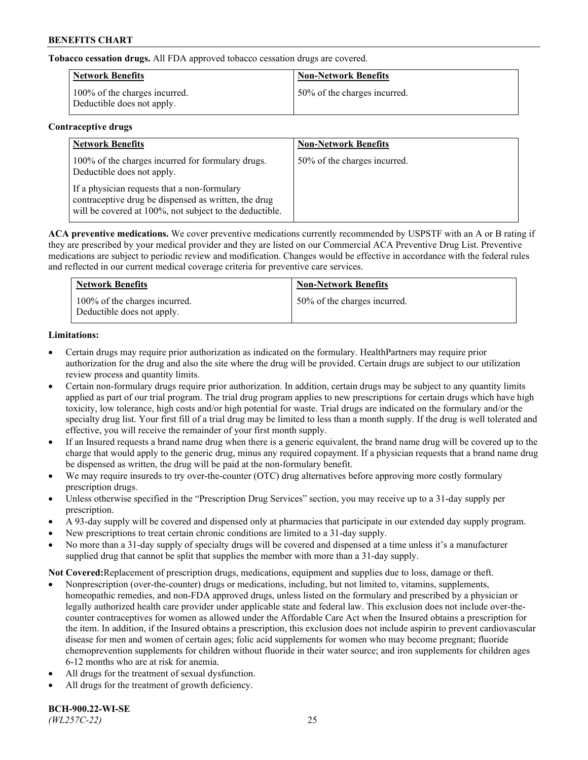**Tobacco cessation drugs.** All FDA approved tobacco cessation drugs are covered.

| Network Benefits                                            | <b>Non-Network Benefits</b>  |
|-------------------------------------------------------------|------------------------------|
| 100% of the charges incurred.<br>Deductible does not apply. | 50% of the charges incurred. |

### **Contraceptive drugs**

| <b>Network Benefits</b>                                                                                                                                         | <b>Non-Network Benefits</b>  |
|-----------------------------------------------------------------------------------------------------------------------------------------------------------------|------------------------------|
| 100% of the charges incurred for formulary drugs.<br>Deductible does not apply.                                                                                 | 50% of the charges incurred. |
| If a physician requests that a non-formulary<br>contraceptive drug be dispensed as written, the drug<br>will be covered at 100%, not subject to the deductible. |                              |

**ACA preventive medications.** We cover preventive medications currently recommended by USPSTF with an A or B rating if they are prescribed by your medical provider and they are listed on our Commercial ACA Preventive Drug List. Preventive medications are subject to periodic review and modification. Changes would be effective in accordance with the federal rules and reflected in our current medical coverage criteria for preventive care services.

| <b>Network Benefits</b>                                     | <b>Non-Network Benefits</b>  |
|-------------------------------------------------------------|------------------------------|
| 100% of the charges incurred.<br>Deductible does not apply. | 50% of the charges incurred. |

## **Limitations:**

- Certain drugs may require prior authorization as indicated on the formulary. HealthPartners may require prior authorization for the drug and also the site where the drug will be provided. Certain drugs are subject to our utilization review process and quantity limits.
- Certain non-formulary drugs require prior authorization. In addition, certain drugs may be subject to any quantity limits applied as part of our trial program. The trial drug program applies to new prescriptions for certain drugs which have high toxicity, low tolerance, high costs and/or high potential for waste. Trial drugs are indicated on the formulary and/or the specialty drug list. Your first fill of a trial drug may be limited to less than a month supply. If the drug is well tolerated and effective, you will receive the remainder of your first month supply.
- If an Insured requests a brand name drug when there is a generic equivalent, the brand name drug will be covered up to the charge that would apply to the generic drug, minus any required copayment. If a physician requests that a brand name drug be dispensed as written, the drug will be paid at the non-formulary benefit.
- We may require insureds to try over-the-counter (OTC) drug alternatives before approving more costly formulary prescription drugs.
- Unless otherwise specified in the "Prescription Drug Services" section, you may receive up to a 31-day supply per prescription.
- A 93-day supply will be covered and dispensed only at pharmacies that participate in our extended day supply program.
- New prescriptions to treat certain chronic conditions are limited to a 31-day supply.
- No more than a 31-day supply of specialty drugs will be covered and dispensed at a time unless it's a manufacturer supplied drug that cannot be split that supplies the member with more than a 31-day supply.

**Not Covered:**Replacement of prescription drugs, medications, equipment and supplies due to loss, damage or theft.

- Nonprescription (over-the-counter) drugs or medications, including, but not limited to, vitamins, supplements, homeopathic remedies, and non-FDA approved drugs, unless listed on the formulary and prescribed by a physician or legally authorized health care provider under applicable state and federal law. This exclusion does not include over-thecounter contraceptives for women as allowed under the Affordable Care Act when the Insured obtains a prescription for the item. In addition, if the Insured obtains a prescription, this exclusion does not include aspirin to prevent cardiovascular disease for men and women of certain ages; folic acid supplements for women who may become pregnant; fluoride chemoprevention supplements for children without fluoride in their water source; and iron supplements for children ages 6-12 months who are at risk for anemia.
- All drugs for the treatment of sexual dysfunction.
- All drugs for the treatment of growth deficiency.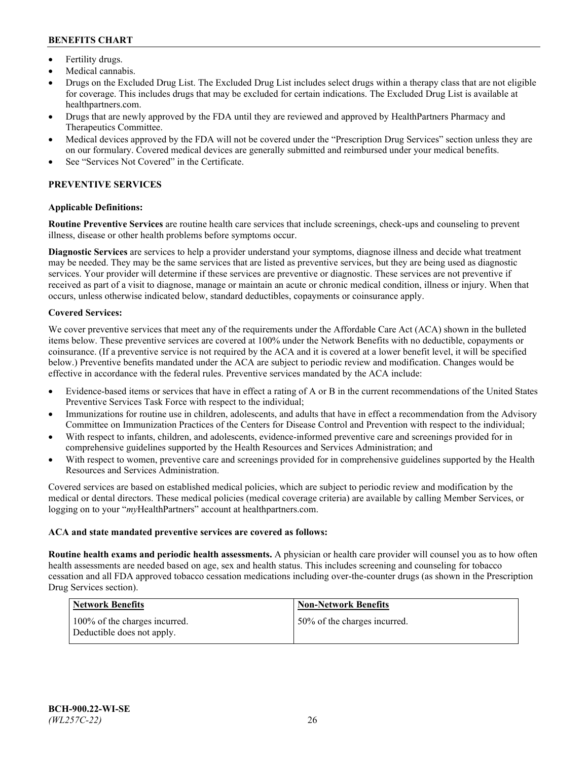- Fertility drugs.
- Medical cannabis.
- Drugs on the Excluded Drug List. The Excluded Drug List includes select drugs within a therapy class that are not eligible for coverage. This includes drugs that may be excluded for certain indications. The Excluded Drug List is available at [healthpartners.com.](http://www.healthpartners.com/)
- Drugs that are newly approved by the FDA until they are reviewed and approved by HealthPartners Pharmacy and Therapeutics Committee.
- Medical devices approved by the FDA will not be covered under the "Prescription Drug Services" section unless they are on our formulary. Covered medical devices are generally submitted and reimbursed under your medical benefits.
- See "Services Not Covered" in the Certificate.

# **PREVENTIVE SERVICES**

### **Applicable Definitions:**

**Routine Preventive Services** are routine health care services that include screenings, check-ups and counseling to prevent illness, disease or other health problems before symptoms occur.

**Diagnostic Services** are services to help a provider understand your symptoms, diagnose illness and decide what treatment may be needed. They may be the same services that are listed as preventive services, but they are being used as diagnostic services. Your provider will determine if these services are preventive or diagnostic. These services are not preventive if received as part of a visit to diagnose, manage or maintain an acute or chronic medical condition, illness or injury. When that occurs, unless otherwise indicated below, standard deductibles, copayments or coinsurance apply.

### **Covered Services:**

We cover preventive services that meet any of the requirements under the Affordable Care Act (ACA) shown in the bulleted items below. These preventive services are covered at 100% under the Network Benefits with no deductible, copayments or coinsurance. (If a preventive service is not required by the ACA and it is covered at a lower benefit level, it will be specified below.) Preventive benefits mandated under the ACA are subject to periodic review and modification. Changes would be effective in accordance with the federal rules. Preventive services mandated by the ACA include:

- Evidence-based items or services that have in effect a rating of A or B in the current recommendations of the United States Preventive Services Task Force with respect to the individual;
- Immunizations for routine use in children, adolescents, and adults that have in effect a recommendation from the Advisory Committee on Immunization Practices of the Centers for Disease Control and Prevention with respect to the individual;
- With respect to infants, children, and adolescents, evidence-informed preventive care and screenings provided for in comprehensive guidelines supported by the Health Resources and Services Administration; and
- With respect to women, preventive care and screenings provided for in comprehensive guidelines supported by the Health Resources and Services Administration.

Covered services are based on established medical policies, which are subject to periodic review and modification by the medical or dental directors. These medical policies (medical coverage criteria) are available by calling Member Services, or logging on to your "*my*HealthPartners" account at [healthpartners.com.](https://www.healthpartners.com/hp/index.html)

#### **ACA and state mandated preventive services are covered as follows:**

**Routine health exams and periodic health assessments.** A physician or health care provider will counsel you as to how often health assessments are needed based on age, sex and health status. This includes screening and counseling for tobacco cessation and all FDA approved tobacco cessation medications including over-the-counter drugs (as shown in the Prescription Drug Services section).

| <b>Network Benefits</b>                                     | <b>Non-Network Benefits</b>  |
|-------------------------------------------------------------|------------------------------|
| 100% of the charges incurred.<br>Deductible does not apply. | 50% of the charges incurred. |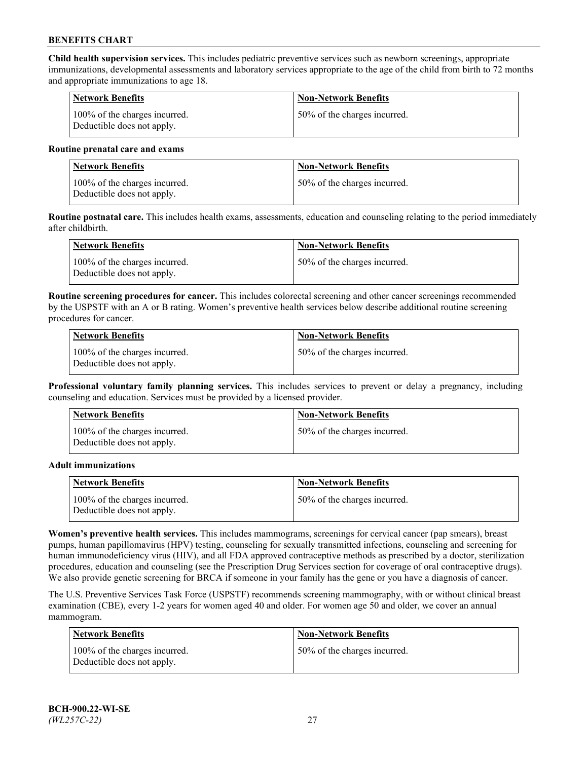**Child health supervision services.** This includes pediatric preventive services such as newborn screenings, appropriate immunizations, developmental assessments and laboratory services appropriate to the age of the child from birth to 72 months and appropriate immunizations to age 18.

| <b>Network Benefits</b>                                     | <b>Non-Network Benefits</b>  |
|-------------------------------------------------------------|------------------------------|
| 100% of the charges incurred.<br>Deductible does not apply. | 50% of the charges incurred. |

#### **Routine prenatal care and exams**

| Network Benefits                                            | <b>Non-Network Benefits</b>  |
|-------------------------------------------------------------|------------------------------|
| 100% of the charges incurred.<br>Deductible does not apply. | 50% of the charges incurred. |

**Routine postnatal care.** This includes health exams, assessments, education and counseling relating to the period immediately after childbirth.

| Network Benefits                                            | <b>Non-Network Benefits</b>  |
|-------------------------------------------------------------|------------------------------|
| 100% of the charges incurred.<br>Deductible does not apply. | 50% of the charges incurred. |

**Routine screening procedures for cancer.** This includes colorectal screening and other cancer screenings recommended by the USPSTF with an A or B rating. Women's preventive health services below describe additional routine screening procedures for cancer.

| <b>Network Benefits</b>                                     | <b>Non-Network Benefits</b>  |
|-------------------------------------------------------------|------------------------------|
| 100% of the charges incurred.<br>Deductible does not apply. | 50% of the charges incurred. |

**Professional voluntary family planning services.** This includes services to prevent or delay a pregnancy, including counseling and education. Services must be provided by a licensed provider.

| <b>Network Benefits</b>                                     | <b>Non-Network Benefits</b>  |
|-------------------------------------------------------------|------------------------------|
| 100% of the charges incurred.<br>Deductible does not apply. | 50% of the charges incurred. |

#### **Adult immunizations**

| <b>Network Benefits</b>                                     | <b>Non-Network Benefits</b>  |
|-------------------------------------------------------------|------------------------------|
| 100% of the charges incurred.<br>Deductible does not apply. | 50% of the charges incurred. |

**Women's preventive health services.** This includes mammograms, screenings for cervical cancer (pap smears), breast pumps, human papillomavirus (HPV) testing, counseling for sexually transmitted infections, counseling and screening for human immunodeficiency virus (HIV), and all FDA approved contraceptive methods as prescribed by a doctor, sterilization procedures, education and counseling (see the Prescription Drug Services section for coverage of oral contraceptive drugs). We also provide genetic screening for BRCA if someone in your family has the gene or you have a diagnosis of cancer.

The U.S. Preventive Services Task Force (USPSTF) recommends screening mammography, with or without clinical breast examination (CBE), every 1-2 years for women aged 40 and older. For women age 50 and older, we cover an annual mammogram.

| <b>Network Benefits</b>                                     | <b>Non-Network Benefits</b>  |
|-------------------------------------------------------------|------------------------------|
| 100% of the charges incurred.<br>Deductible does not apply. | 50% of the charges incurred. |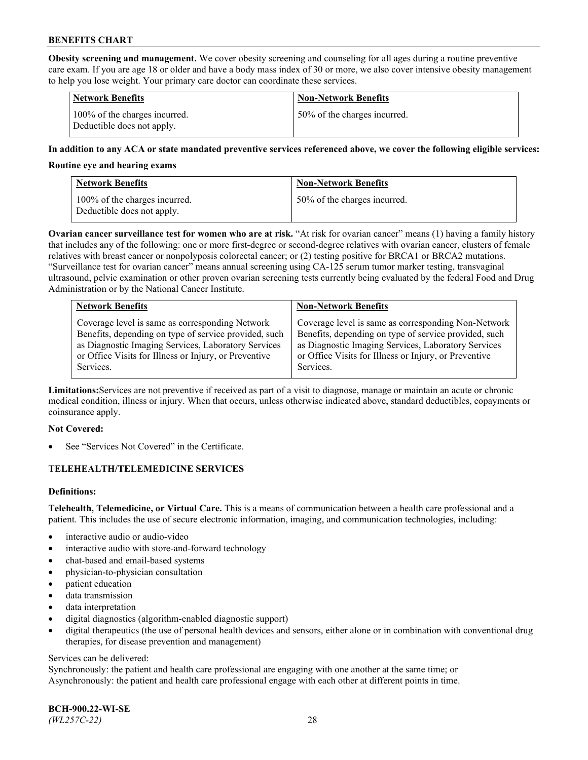**Obesity screening and management.** We cover obesity screening and counseling for all ages during a routine preventive care exam. If you are age 18 or older and have a body mass index of 30 or more, we also cover intensive obesity management to help you lose weight. Your primary care doctor can coordinate these services.

| <b>Network Benefits</b>                                     | <b>Non-Network Benefits</b>  |
|-------------------------------------------------------------|------------------------------|
| 100% of the charges incurred.<br>Deductible does not apply. | 50% of the charges incurred. |

### **In addition to any ACA or state mandated preventive services referenced above, we cover the following eligible services:**

#### **Routine eye and hearing exams**

| <b>Network Benefits</b>                                     | <b>Non-Network Benefits</b>  |
|-------------------------------------------------------------|------------------------------|
| 100% of the charges incurred.<br>Deductible does not apply. | 50% of the charges incurred. |

**Ovarian cancer surveillance test for women who are at risk.** "At risk for ovarian cancer" means (1) having a family history that includes any of the following: one or more first-degree or second-degree relatives with ovarian cancer, clusters of female relatives with breast cancer or nonpolyposis colorectal cancer; or (2) testing positive for BRCA1 or BRCA2 mutations. "Surveillance test for ovarian cancer" means annual screening using CA-125 serum tumor marker testing, transvaginal ultrasound, pelvic examination or other proven ovarian screening tests currently being evaluated by the federal Food and Drug Administration or by the National Cancer Institute.

| <b>Network Benefits</b>                               | <b>Non-Network Benefits</b>                           |
|-------------------------------------------------------|-------------------------------------------------------|
| Coverage level is same as corresponding Network       | Coverage level is same as corresponding Non-Network   |
| Benefits, depending on type of service provided, such | Benefits, depending on type of service provided, such |
| as Diagnostic Imaging Services, Laboratory Services   | as Diagnostic Imaging Services, Laboratory Services   |
| or Office Visits for Illness or Injury, or Preventive | or Office Visits for Illness or Injury, or Preventive |
| Services.                                             | Services.                                             |

**Limitations:**Services are not preventive if received as part of a visit to diagnose, manage or maintain an acute or chronic medical condition, illness or injury. When that occurs, unless otherwise indicated above, standard deductibles, copayments or coinsurance apply.

#### **Not Covered:**

See "Services Not Covered" in the Certificate.

## **TELEHEALTH/TELEMEDICINE SERVICES**

## **Definitions:**

**Telehealth, Telemedicine, or Virtual Care.** This is a means of communication between a health care professional and a patient. This includes the use of secure electronic information, imaging, and communication technologies, including:

- interactive audio or audio-video
- interactive audio with store-and-forward technology
- chat-based and email-based systems
- physician-to-physician consultation
- patient education
- data transmission
- data interpretation
- digital diagnostics (algorithm-enabled diagnostic support)
- digital therapeutics (the use of personal health devices and sensors, either alone or in combination with conventional drug therapies, for disease prevention and management)

#### Services can be delivered:

Synchronously: the patient and health care professional are engaging with one another at the same time; or Asynchronously: the patient and health care professional engage with each other at different points in time.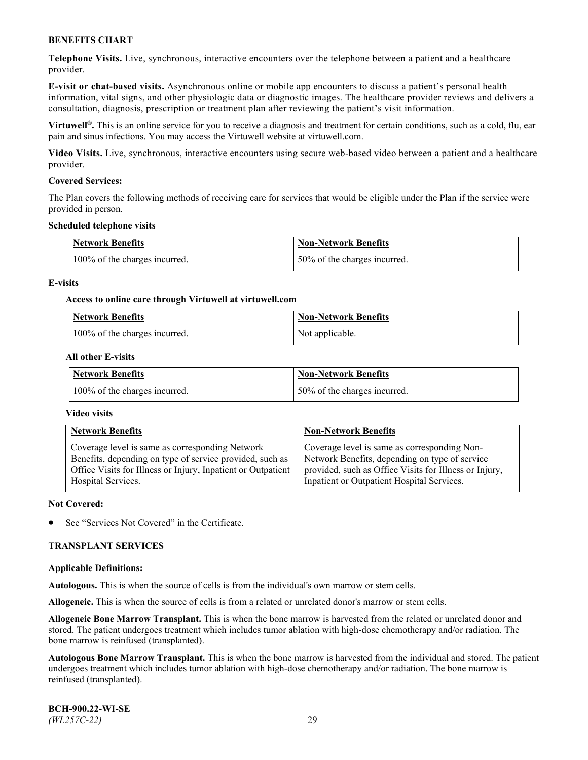**Telephone Visits.** Live, synchronous, interactive encounters over the telephone between a patient and a healthcare provider.

**E-visit or chat-based visits.** Asynchronous online or mobile app encounters to discuss a patient's personal health information, vital signs, and other physiologic data or diagnostic images. The healthcare provider reviews and delivers a consultation, diagnosis, prescription or treatment plan after reviewing the patient's visit information.

**Virtuwell®.** This is an online service for you to receive a diagnosis and treatment for certain conditions, such as a cold, flu, ear pain and sinus infections. You may access the Virtuwell website at [virtuwell.com.](https://www.virtuwell.com/)

**Video Visits.** Live, synchronous, interactive encounters using secure web-based video between a patient and a healthcare provider.

#### **Covered Services:**

The Plan covers the following methods of receiving care for services that would be eligible under the Plan if the service were provided in person.

#### **Scheduled telephone visits**

| <b>Network Benefits</b>       | <b>Non-Network Benefits</b>  |
|-------------------------------|------------------------------|
| 100% of the charges incurred. | 50% of the charges incurred. |

### **E-visits**

### **Access to online care through Virtuwell at [virtuwell.com](https://www.virtuwell.com/)**

| Network Benefits              | <b>Non-Network Benefits</b> |
|-------------------------------|-----------------------------|
| 100% of the charges incurred. | Not applicable.             |

### **All other E-visits**

| <b>Network Benefits</b>       | <b>Non-Network Benefits</b>  |
|-------------------------------|------------------------------|
| 100% of the charges incurred. | 50% of the charges incurred. |

### **Video visits**

| <b>Network Benefits</b>                                      | <b>Non-Network Benefits</b>                            |
|--------------------------------------------------------------|--------------------------------------------------------|
| Coverage level is same as corresponding Network              | Coverage level is same as corresponding Non-           |
| Benefits, depending on type of service provided, such as     | Network Benefits, depending on type of service         |
| Office Visits for Illness or Injury, Inpatient or Outpatient | provided, such as Office Visits for Illness or Injury, |
| Hospital Services.                                           | Inpatient or Outpatient Hospital Services.             |

#### **Not Covered:**

See "Services Not Covered" in the Certificate.

## **TRANSPLANT SERVICES**

#### **Applicable Definitions:**

**Autologous.** This is when the source of cells is from the individual's own marrow or stem cells.

**Allogeneic.** This is when the source of cells is from a related or unrelated donor's marrow or stem cells.

**Allogeneic Bone Marrow Transplant.** This is when the bone marrow is harvested from the related or unrelated donor and stored. The patient undergoes treatment which includes tumor ablation with high-dose chemotherapy and/or radiation. The bone marrow is reinfused (transplanted).

**Autologous Bone Marrow Transplant.** This is when the bone marrow is harvested from the individual and stored. The patient undergoes treatment which includes tumor ablation with high-dose chemotherapy and/or radiation. The bone marrow is reinfused (transplanted).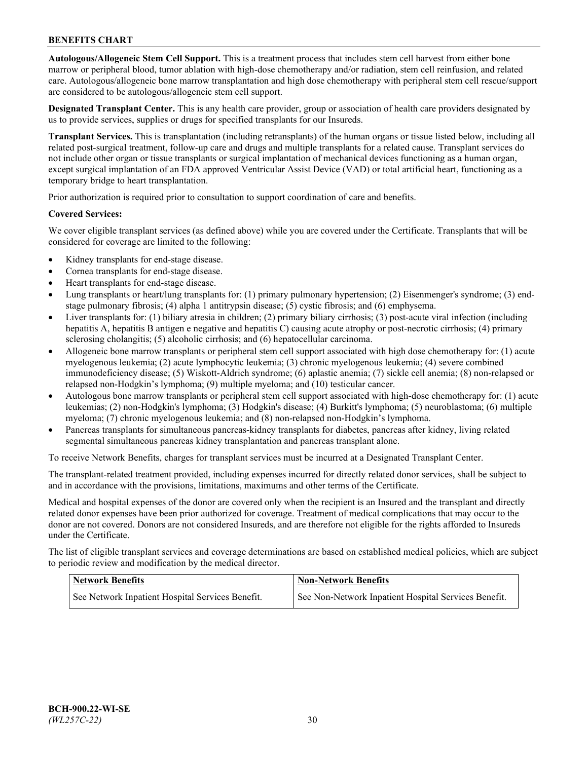**Autologous/Allogeneic Stem Cell Support.** This is a treatment process that includes stem cell harvest from either bone marrow or peripheral blood, tumor ablation with high-dose chemotherapy and/or radiation, stem cell reinfusion, and related care. Autologous/allogeneic bone marrow transplantation and high dose chemotherapy with peripheral stem cell rescue/support are considered to be autologous/allogeneic stem cell support.

**Designated Transplant Center.** This is any health care provider, group or association of health care providers designated by us to provide services, supplies or drugs for specified transplants for our Insureds.

**Transplant Services.** This is transplantation (including retransplants) of the human organs or tissue listed below, including all related post-surgical treatment, follow-up care and drugs and multiple transplants for a related cause. Transplant services do not include other organ or tissue transplants or surgical implantation of mechanical devices functioning as a human organ, except surgical implantation of an FDA approved Ventricular Assist Device (VAD) or total artificial heart, functioning as a temporary bridge to heart transplantation.

Prior authorization is required prior to consultation to support coordination of care and benefits.

### **Covered Services:**

We cover eligible transplant services (as defined above) while you are covered under the Certificate. Transplants that will be considered for coverage are limited to the following:

- Kidney transplants for end-stage disease.
- Cornea transplants for end-stage disease.
- Heart transplants for end-stage disease.
- Lung transplants or heart/lung transplants for: (1) primary pulmonary hypertension; (2) Eisenmenger's syndrome; (3) endstage pulmonary fibrosis; (4) alpha 1 antitrypsin disease; (5) cystic fibrosis; and (6) emphysema.
- Liver transplants for: (1) biliary atresia in children; (2) primary biliary cirrhosis; (3) post-acute viral infection (including hepatitis A, hepatitis B antigen e negative and hepatitis C) causing acute atrophy or post-necrotic cirrhosis; (4) primary sclerosing cholangitis; (5) alcoholic cirrhosis; and (6) hepatocellular carcinoma.
- Allogeneic bone marrow transplants or peripheral stem cell support associated with high dose chemotherapy for: (1) acute myelogenous leukemia; (2) acute lymphocytic leukemia; (3) chronic myelogenous leukemia; (4) severe combined immunodeficiency disease; (5) Wiskott-Aldrich syndrome; (6) aplastic anemia; (7) sickle cell anemia; (8) non-relapsed or relapsed non-Hodgkin's lymphoma; (9) multiple myeloma; and (10) testicular cancer.
- Autologous bone marrow transplants or peripheral stem cell support associated with high-dose chemotherapy for: (1) acute leukemias; (2) non-Hodgkin's lymphoma; (3) Hodgkin's disease; (4) Burkitt's lymphoma; (5) neuroblastoma; (6) multiple myeloma; (7) chronic myelogenous leukemia; and (8) non-relapsed non-Hodgkin's lymphoma.
- Pancreas transplants for simultaneous pancreas-kidney transplants for diabetes, pancreas after kidney, living related segmental simultaneous pancreas kidney transplantation and pancreas transplant alone.

To receive Network Benefits, charges for transplant services must be incurred at a Designated Transplant Center.

The transplant-related treatment provided, including expenses incurred for directly related donor services, shall be subject to and in accordance with the provisions, limitations, maximums and other terms of the Certificate.

Medical and hospital expenses of the donor are covered only when the recipient is an Insured and the transplant and directly related donor expenses have been prior authorized for coverage. Treatment of medical complications that may occur to the donor are not covered. Donors are not considered Insureds, and are therefore not eligible for the rights afforded to Insureds under the Certificate.

The list of eligible transplant services and coverage determinations are based on established medical policies, which are subject to periodic review and modification by the medical director.

| <b>Network Benefits</b>                          | <b>Non-Network Benefits</b>                          |
|--------------------------------------------------|------------------------------------------------------|
| See Network Inpatient Hospital Services Benefit. | See Non-Network Inpatient Hospital Services Benefit. |